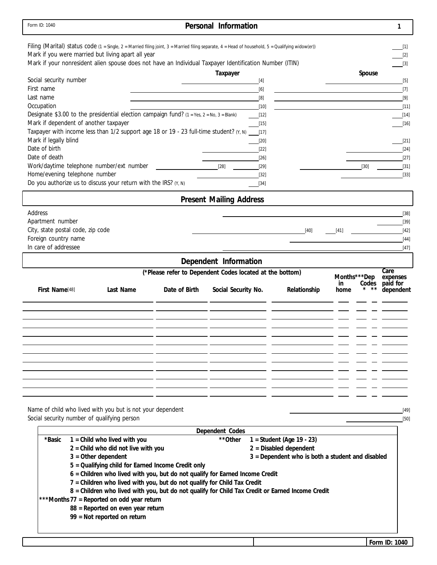| Form ID: 1040                                                                                                                                                                                                                                                                                                      |                                                          | Personal Information           |                                                  | 1                                          |
|--------------------------------------------------------------------------------------------------------------------------------------------------------------------------------------------------------------------------------------------------------------------------------------------------------------------|----------------------------------------------------------|--------------------------------|--------------------------------------------------|--------------------------------------------|
| Filing (Marital) status code (1 = Single, 2 = Married filing joint, 3 = Married filing separate, 4 = Head of household, 5 = Qualifying widow(er))<br>Mark if you were married but living apart all year<br>Mark if your nonresident alien spouse does not have an Individual Taxpayer Identification Number (ITIN) |                                                          |                                |                                                  | 111<br>$[2]$<br>$[3]$                      |
|                                                                                                                                                                                                                                                                                                                    |                                                          | Taxpayer                       |                                                  | Spouse                                     |
| Social security number<br>First name                                                                                                                                                                                                                                                                               |                                                          |                                | $[4]$                                            | $[5]$                                      |
| Last name                                                                                                                                                                                                                                                                                                          |                                                          |                                | [6]<br>[8]                                       | $[7]$<br>$[9]$                             |
| Occupation                                                                                                                                                                                                                                                                                                         |                                                          |                                | $[10]$                                           | $[11]$                                     |
| Designate \$3.00 to the presidential election campaign fund? $(1 = Yes, 2 = No, 3 = Blank)$                                                                                                                                                                                                                        |                                                          |                                | $[12]$                                           | $[14]$                                     |
| Mark if dependent of another taxpayer                                                                                                                                                                                                                                                                              |                                                          |                                | $[15]$                                           | $[16]$                                     |
| Taxpayer with income less than 1/2 support age 18 or 19 - 23 full-time student? (Y, N)                                                                                                                                                                                                                             |                                                          |                                | $[17]$                                           |                                            |
| Mark if legally blind                                                                                                                                                                                                                                                                                              |                                                          |                                | $[20]$                                           | $[21]$                                     |
| Date of birth                                                                                                                                                                                                                                                                                                      |                                                          |                                | $[22]$                                           | $[24]$                                     |
| Date of death                                                                                                                                                                                                                                                                                                      |                                                          |                                | $[26]$                                           | $[27]$                                     |
| Work/daytime telephone number/ext number                                                                                                                                                                                                                                                                           |                                                          | $[28]$                         | $[29]$                                           | $[30]$<br>$[31]$                           |
| Home/evening telephone number                                                                                                                                                                                                                                                                                      |                                                          |                                | $[32]$                                           | $[33]$                                     |
| Do you authorize us to discuss your return with the IRS? $(Y, N)$                                                                                                                                                                                                                                                  |                                                          |                                | $[34]$                                           |                                            |
|                                                                                                                                                                                                                                                                                                                    |                                                          | <b>Present Mailing Address</b> |                                                  |                                            |
| Address                                                                                                                                                                                                                                                                                                            |                                                          |                                |                                                  | $[38]$                                     |
| Apartment number                                                                                                                                                                                                                                                                                                   |                                                          |                                |                                                  | $[39]$                                     |
| City, state postal code, zip code                                                                                                                                                                                                                                                                                  |                                                          |                                | $[40]$                                           | $[41]$<br>$[42]$                           |
| Foreign country name                                                                                                                                                                                                                                                                                               |                                                          |                                |                                                  | $[44]$                                     |
| In care of addressee                                                                                                                                                                                                                                                                                               |                                                          |                                |                                                  | $[47]$                                     |
|                                                                                                                                                                                                                                                                                                                    |                                                          | Dependent Information          |                                                  |                                            |
|                                                                                                                                                                                                                                                                                                                    | (*Please refer to Dependent Codes located at the bottom) |                                |                                                  | Care                                       |
|                                                                                                                                                                                                                                                                                                                    |                                                          |                                |                                                  | Months***Dep<br>expenses<br>paid for<br>in |
| First Name[48]<br>Last Name                                                                                                                                                                                                                                                                                        | Date of Birth                                            | Social Security No.            | Relationship                                     | Codes<br>dependent<br>home                 |
|                                                                                                                                                                                                                                                                                                                    |                                                          |                                |                                                  |                                            |
|                                                                                                                                                                                                                                                                                                                    |                                                          |                                |                                                  |                                            |
|                                                                                                                                                                                                                                                                                                                    |                                                          |                                |                                                  |                                            |
|                                                                                                                                                                                                                                                                                                                    |                                                          |                                |                                                  |                                            |
|                                                                                                                                                                                                                                                                                                                    |                                                          |                                |                                                  |                                            |
|                                                                                                                                                                                                                                                                                                                    |                                                          |                                |                                                  |                                            |
|                                                                                                                                                                                                                                                                                                                    |                                                          |                                |                                                  |                                            |
|                                                                                                                                                                                                                                                                                                                    |                                                          |                                |                                                  |                                            |
|                                                                                                                                                                                                                                                                                                                    |                                                          |                                |                                                  |                                            |
|                                                                                                                                                                                                                                                                                                                    |                                                          |                                |                                                  |                                            |
|                                                                                                                                                                                                                                                                                                                    |                                                          |                                |                                                  |                                            |
|                                                                                                                                                                                                                                                                                                                    |                                                          |                                |                                                  |                                            |
| Name of child who lived with you but is not your dependent                                                                                                                                                                                                                                                         |                                                          |                                |                                                  | $[49]$                                     |
| Social security number of qualifying person                                                                                                                                                                                                                                                                        |                                                          |                                |                                                  | $[50]$                                     |
|                                                                                                                                                                                                                                                                                                                    |                                                          | Dependent Codes                |                                                  |                                            |
| 1 = Child who lived with you<br>*Basic                                                                                                                                                                                                                                                                             |                                                          | **Other                        | 1 = Student (Age 19 - 23)                        |                                            |
| $2 =$ Child who did not live with you                                                                                                                                                                                                                                                                              |                                                          |                                | $2$ = Disabled dependent                         |                                            |
| $3 =$ Other dependent                                                                                                                                                                                                                                                                                              |                                                          |                                | 3 = Dependent who is both a student and disabled |                                            |
| 5 = Qualifying child for Earned Income Credit only                                                                                                                                                                                                                                                                 |                                                          |                                |                                                  |                                            |
| 6 = Children who lived with you, but do not qualify for Earned Income Credit                                                                                                                                                                                                                                       |                                                          |                                |                                                  |                                            |
| 7 = Children who lived with you, but do not qualify for Child Tax Credit                                                                                                                                                                                                                                           |                                                          |                                |                                                  |                                            |
| 8 = Children who lived with you, but do not qualify for Child Tax Credit or Earned Income Credit                                                                                                                                                                                                                   |                                                          |                                |                                                  |                                            |
| ***Months 77 = Reported on odd year return                                                                                                                                                                                                                                                                         |                                                          |                                |                                                  |                                            |
| 88 = Reported on even year return<br>99 = Not reported on return                                                                                                                                                                                                                                                   |                                                          |                                |                                                  |                                            |
|                                                                                                                                                                                                                                                                                                                    |                                                          |                                |                                                  |                                            |
|                                                                                                                                                                                                                                                                                                                    |                                                          |                                |                                                  |                                            |
|                                                                                                                                                                                                                                                                                                                    |                                                          |                                |                                                  | Form ID: 1040                              |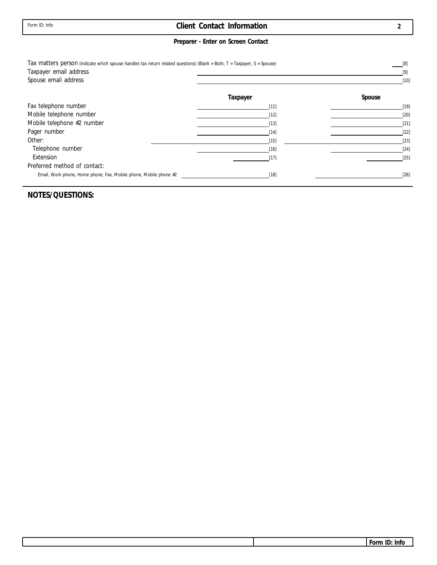### **Client Contact Information**

### **Preparer - Enter on Screen Contact**

| Tax matters person (Indicate which spouse handles tax return related questions) (Blank = Both, T = Taxpayer, S = Spouse)<br>Taxpayer email address |          | [8]<br>[9] |
|----------------------------------------------------------------------------------------------------------------------------------------------------|----------|------------|
| Spouse email address                                                                                                                               |          | $[10]$     |
|                                                                                                                                                    | Taxpayer | Spouse     |
| Fax telephone number                                                                                                                               | $[11]$   | $[19]$     |
| Mobile telephone number                                                                                                                            | $[12]$   | $[20]$     |
| Mobile telephone #2 number                                                                                                                         | $[13]$   | $[21]$     |
| Pager number                                                                                                                                       | $[14]$   | $[22]$     |
| Other:                                                                                                                                             | $[15]$   | $[23]$     |
| Telephone number                                                                                                                                   | $[16]$   | $[24]$     |
| Extension                                                                                                                                          | [17]     | $[25]$     |
| Preferred method of contact:                                                                                                                       |          |            |
| Email, Work phone, Home phone, Fax, Mobile phone, Mobile phone #2                                                                                  | $[18]$   | $[26]$     |

#### **NOTES/QUESTIONS:**

**2**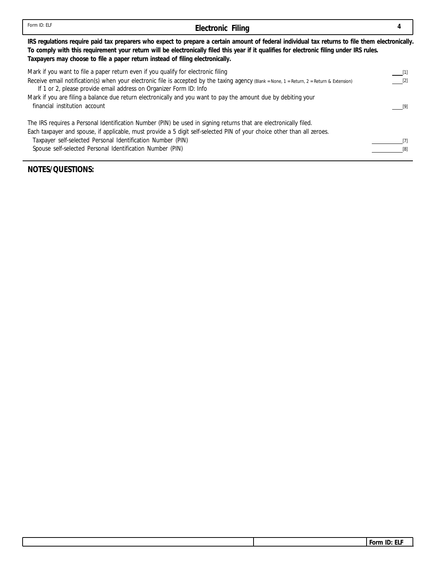| Form ID: ELF                                                                                                                                                                                                                                                                                                                                                             | Electronic Filing                                                                                                                                                                                                                                                                             |                      |
|--------------------------------------------------------------------------------------------------------------------------------------------------------------------------------------------------------------------------------------------------------------------------------------------------------------------------------------------------------------------------|-----------------------------------------------------------------------------------------------------------------------------------------------------------------------------------------------------------------------------------------------------------------------------------------------|----------------------|
| Taxpayers may choose to file a paper return instead of filing electronically.                                                                                                                                                                                                                                                                                            | IRS regulations require paid tax preparers who expect to prepare a certain amount of federal individual tax returns to file them electronically.<br>To comply with this requirement your return will be electronically filed this year if it qualifies for electronic filing under IRS rules. |                      |
| Mark if you want to file a paper return even if you qualify for electronic filing<br>If 1 or 2, please provide email address on Organizer Form ID: Info<br>Mark if you are filing a balance due return electronically and you want to pay the amount due by debiting your<br>financial institution account                                                               | Receive email notification(s) when your electronic file is accepted by the taxing agency (Blank = None, 1 = Return, 2 = Return & Extension)                                                                                                                                                   | $\lfloor 11 \rfloor$ |
| The IRS requires a Personal Identification Number (PIN) be used in signing returns that are electronically filed.<br>Each taxpayer and spouse, if applicable, must provide a 5 digit self-selected PIN of your choice other than all zeroes.<br>Taxpayer self-selected Personal Identification Number (PIN)<br>Spouse self-selected Personal Identification Number (PIN) |                                                                                                                                                                                                                                                                                               |                      |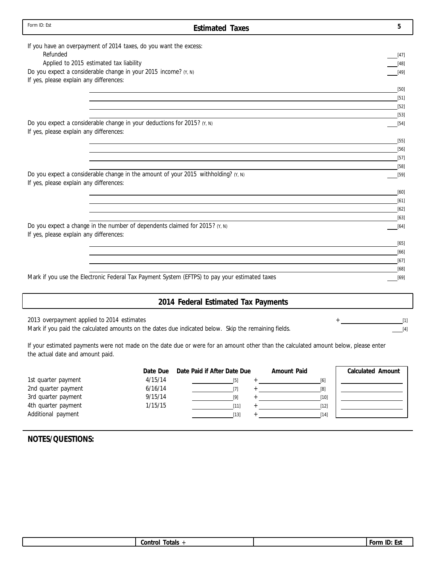| Form ID: Est<br><b>Estimated Taxes</b>                                                               | 5              |
|------------------------------------------------------------------------------------------------------|----------------|
| If you have an overpayment of 2014 taxes, do you want the excess:                                    |                |
| Refunded                                                                                             | [47]           |
| Applied to 2015 estimated tax liability                                                              | $[48]$         |
| Do you expect a considerable change in your 2015 income? (Y, N)                                      | $[49]$         |
| If yes, please explain any differences:                                                              |                |
|                                                                                                      | $[50]$         |
|                                                                                                      | $[51]$         |
|                                                                                                      | [52]           |
|                                                                                                      | $[53]$         |
| Do you expect a considerable change in your deductions for 2015? $(Y, N)$                            | $[54]$         |
| If yes, please explain any differences:                                                              |                |
|                                                                                                      | $[55]$         |
|                                                                                                      | [56]           |
|                                                                                                      | $[57]$         |
| Do you expect a considerable change in the amount of your 2015 withholding? (Y, N)                   | $[58]$         |
| If yes, please explain any differences:                                                              | $[59]$         |
|                                                                                                      | $[60]$         |
|                                                                                                      | [61]           |
|                                                                                                      | $[62]$         |
|                                                                                                      | $[63]$         |
| Do you expect a change in the number of dependents claimed for 2015? $(Y, N)$                        | $[64]$         |
| If yes, please explain any differences:                                                              |                |
|                                                                                                      | $[65]$         |
|                                                                                                      | [66]           |
|                                                                                                      | [67]           |
|                                                                                                      | [68]           |
| Mark if you use the Electronic Federal Tax Payment System (EFTPS) to pay your estimated taxes        | [69]           |
|                                                                                                      |                |
| 2014 Federal Estimated Tax Payments                                                                  |                |
| 2013 overpayment applied to 2014 estimates                                                           |                |
| Mark if you paid the calculated amounts on the dates due indicated below. Skip the remaining fields. | $[1]$<br>$[4]$ |

If your estimated payments were not made on the date due or were for an amount other than the calculated amount below, please enter the actual date and amount paid.

|                     |         | Date Due Date Paid if After Date Due | Amount Paid | Calculated Amount |
|---------------------|---------|--------------------------------------|-------------|-------------------|
| 1st quarter payment | 4/15/14 |                                      | [6]         |                   |
| 2nd quarter payment | 6/16/14 |                                      | [8]         |                   |
| 3rd quarter payment | 9/15/14 |                                      | $[10]$      |                   |
| 4th quarter payment | 1/15/15 | [11]                                 | $[12]$      |                   |
| Additional payment  |         | $[13]$                               | [14]        |                   |
|                     |         |                                      |             |                   |

| トヘー<br><b>Ulais</b><br>w.<br>. . | шm<br>--<br>` IL<br>. JI |
|----------------------------------|--------------------------|
|                                  |                          |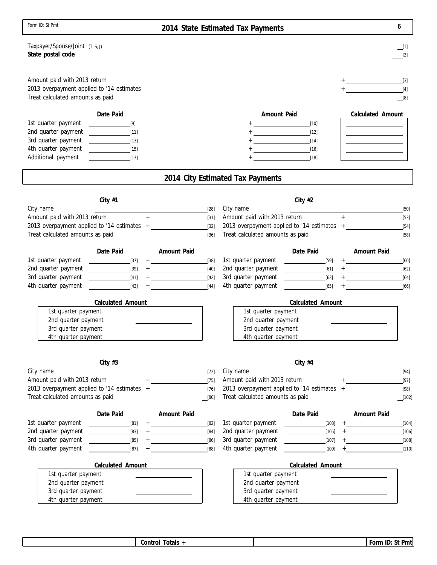| Form ID: St Pmt                                                                                               |                                           |                                                                                                                                                                                                                 |                  | 2014 State Estimated Tax Payments                                                                                                                                                                                                                                                                                                                                                                                                                                                                                                                                           |                              | 6                                                                                                                                                                                                                                                                                                                                                                                                     |
|---------------------------------------------------------------------------------------------------------------|-------------------------------------------|-----------------------------------------------------------------------------------------------------------------------------------------------------------------------------------------------------------------|------------------|-----------------------------------------------------------------------------------------------------------------------------------------------------------------------------------------------------------------------------------------------------------------------------------------------------------------------------------------------------------------------------------------------------------------------------------------------------------------------------------------------------------------------------------------------------------------------------|------------------------------|-------------------------------------------------------------------------------------------------------------------------------------------------------------------------------------------------------------------------------------------------------------------------------------------------------------------------------------------------------------------------------------------------------|
| Taxpayer/Spouse/Joint (T, S, J)<br>State postal code                                                          |                                           |                                                                                                                                                                                                                 |                  |                                                                                                                                                                                                                                                                                                                                                                                                                                                                                                                                                                             |                              | $\_$ [1]<br>[2]                                                                                                                                                                                                                                                                                                                                                                                       |
| Amount paid with 2013 return<br>2013 overpayment applied to '14 estimates<br>Treat calculated amounts as paid |                                           |                                                                                                                                                                                                                 |                  |                                                                                                                                                                                                                                                                                                                                                                                                                                                                                                                                                                             |                              | [4]<br>$\Box$ [8]                                                                                                                                                                                                                                                                                                                                                                                     |
|                                                                                                               | Date Paid                                 |                                                                                                                                                                                                                 |                  | Amount Paid                                                                                                                                                                                                                                                                                                                                                                                                                                                                                                                                                                 |                              | Calculated Amount                                                                                                                                                                                                                                                                                                                                                                                     |
| 1st quarter payment<br>2nd quarter payment                                                                    | [9]<br>$\begin{bmatrix} 11 \end{bmatrix}$ |                                                                                                                                                                                                                 |                  | $+ \underbrace{\qquad \qquad }_{\qquad \qquad }+\underbrace{\qquad \qquad }_{\qquad \qquad }+\underbrace{\qquad \qquad }_{\qquad \qquad }+\underbrace{\qquad \qquad }_{\qquad \qquad }+\underbrace{\qquad \qquad }_{\qquad \qquad }+\underbrace{\qquad \qquad }_{\qquad \qquad }+\underbrace{\qquad \qquad }_{\qquad \qquad }+\underbrace{\qquad \qquad }_{\qquad \qquad }+\underbrace{\qquad \qquad }_{\qquad \qquad }+\underbrace{\qquad \qquad }_{\qquad \qquad }+\underbrace{\qquad \qquad }_{\qquad \qquad }+\underbrace{\qquad \qquad }_{\qquad \qquad }+\underbrace$ | $[10]$<br>$[12]$             |                                                                                                                                                                                                                                                                                                                                                                                                       |
| 3rd quarter payment                                                                                           | [13]                                      |                                                                                                                                                                                                                 |                  |                                                                                                                                                                                                                                                                                                                                                                                                                                                                                                                                                                             | $[14]$                       |                                                                                                                                                                                                                                                                                                                                                                                                       |
| 4th quarter payment                                                                                           | [15]                                      |                                                                                                                                                                                                                 |                  |                                                                                                                                                                                                                                                                                                                                                                                                                                                                                                                                                                             | [16]                         |                                                                                                                                                                                                                                                                                                                                                                                                       |
| Additional payment                                                                                            | $[17]$                                    |                                                                                                                                                                                                                 |                  |                                                                                                                                                                                                                                                                                                                                                                                                                                                                                                                                                                             | $[18]$                       |                                                                                                                                                                                                                                                                                                                                                                                                       |
|                                                                                                               |                                           |                                                                                                                                                                                                                 |                  | 2014 City Estimated Tax Payments                                                                                                                                                                                                                                                                                                                                                                                                                                                                                                                                            |                              |                                                                                                                                                                                                                                                                                                                                                                                                       |
|                                                                                                               |                                           |                                                                                                                                                                                                                 |                  |                                                                                                                                                                                                                                                                                                                                                                                                                                                                                                                                                                             |                              |                                                                                                                                                                                                                                                                                                                                                                                                       |
| City name                                                                                                     | City $#1$                                 |                                                                                                                                                                                                                 | $[28]$           | City name                                                                                                                                                                                                                                                                                                                                                                                                                                                                                                                                                                   | City $#2$                    |                                                                                                                                                                                                                                                                                                                                                                                                       |
| Amount paid with 2013 return                                                                                  |                                           |                                                                                                                                                                                                                 | $[31]$           | Amount paid with 2013 return                                                                                                                                                                                                                                                                                                                                                                                                                                                                                                                                                |                              | $[50]$<br>$\begin{picture}(20,20)(-0,0) \put(0,0){\vector(1,0){10}} \put(15,0){\vector(1,0){10}} \put(15,0){\vector(1,0){10}} \put(15,0){\vector(1,0){10}} \put(15,0){\vector(1,0){10}} \put(15,0){\vector(1,0){10}} \put(15,0){\vector(1,0){10}} \put(15,0){\vector(1,0){10}} \put(15,0){\vector(1,0){10}} \put(15,0){\vector(1,0){10}} \put(15,0){\vector(1,0){10}} \put(15,0$<br>$[53]$            |
| 2013 overpayment applied to '14 estimates +                                                                   |                                           |                                                                                                                                                                                                                 | $[32]$           | 2013 overpayment applied to '14 estimates +                                                                                                                                                                                                                                                                                                                                                                                                                                                                                                                                 |                              | $[54]$                                                                                                                                                                                                                                                                                                                                                                                                |
| Treat calculated amounts as paid                                                                              |                                           |                                                                                                                                                                                                                 | $\boxed{36}$     | Treat calculated amounts as paid                                                                                                                                                                                                                                                                                                                                                                                                                                                                                                                                            |                              | $\boxed{[58]}$                                                                                                                                                                                                                                                                                                                                                                                        |
|                                                                                                               | Date Paid                                 | Amount Paid                                                                                                                                                                                                     |                  |                                                                                                                                                                                                                                                                                                                                                                                                                                                                                                                                                                             | Date Paid                    | Amount Paid                                                                                                                                                                                                                                                                                                                                                                                           |
| 1st quarter payment                                                                                           | $[37]$                                    |                                                                                                                                                                                                                 | $[38]$           | 1st quarter payment                                                                                                                                                                                                                                                                                                                                                                                                                                                                                                                                                         | $[59]$                       | $+$ [60]                                                                                                                                                                                                                                                                                                                                                                                              |
| 2nd quarter payment                                                                                           | $[39]$                                    |                                                                                                                                                                                                                 | $[40]$           | 2nd quarter payment                                                                                                                                                                                                                                                                                                                                                                                                                                                                                                                                                         | $[61]$                       | $+$ $[62]$                                                                                                                                                                                                                                                                                                                                                                                            |
| 3rd quarter payment<br>4th quarter payment                                                                    | $[41]$<br>$[43]$                          | $+ \underbrace{\qquad \qquad }_{\hspace{15pt} \text{---}} \underbrace{\qquad \qquad }_{\hspace{15pt} \text{---}} \underbrace{\qquad \qquad }_{\hspace{15pt} \text{---}}$<br>the contract of the contract of the | $[42]$<br>$[44]$ | 3rd quarter payment<br>4th quarter payment                                                                                                                                                                                                                                                                                                                                                                                                                                                                                                                                  | $[63]$<br>[65]               | $+$ [64]<br>[66]                                                                                                                                                                                                                                                                                                                                                                                      |
|                                                                                                               |                                           |                                                                                                                                                                                                                 |                  |                                                                                                                                                                                                                                                                                                                                                                                                                                                                                                                                                                             |                              |                                                                                                                                                                                                                                                                                                                                                                                                       |
|                                                                                                               | Calculated Amount                         |                                                                                                                                                                                                                 |                  |                                                                                                                                                                                                                                                                                                                                                                                                                                                                                                                                                                             | Calculated Amount            |                                                                                                                                                                                                                                                                                                                                                                                                       |
| 1st quarter payment<br>2nd quarter payment                                                                    |                                           |                                                                                                                                                                                                                 |                  | 1st quarter payment<br>2nd quarter payment                                                                                                                                                                                                                                                                                                                                                                                                                                                                                                                                  |                              |                                                                                                                                                                                                                                                                                                                                                                                                       |
| 3rd quarter payment                                                                                           |                                           |                                                                                                                                                                                                                 |                  | 3rd quarter payment                                                                                                                                                                                                                                                                                                                                                                                                                                                                                                                                                         |                              |                                                                                                                                                                                                                                                                                                                                                                                                       |
| 4th quarter payment                                                                                           |                                           |                                                                                                                                                                                                                 |                  | 4th quarter payment                                                                                                                                                                                                                                                                                                                                                                                                                                                                                                                                                         |                              |                                                                                                                                                                                                                                                                                                                                                                                                       |
|                                                                                                               |                                           |                                                                                                                                                                                                                 |                  |                                                                                                                                                                                                                                                                                                                                                                                                                                                                                                                                                                             |                              |                                                                                                                                                                                                                                                                                                                                                                                                       |
|                                                                                                               | City $#3$                                 |                                                                                                                                                                                                                 |                  |                                                                                                                                                                                                                                                                                                                                                                                                                                                                                                                                                                             | City $#4$                    |                                                                                                                                                                                                                                                                                                                                                                                                       |
| City name                                                                                                     |                                           |                                                                                                                                                                                                                 | $[72]$           | City name                                                                                                                                                                                                                                                                                                                                                                                                                                                                                                                                                                   |                              | $[94]$                                                                                                                                                                                                                                                                                                                                                                                                |
| Amount paid with 2013 return                                                                                  |                                           |                                                                                                                                                                                                                 | $[75]$           | Amount paid with 2013 return                                                                                                                                                                                                                                                                                                                                                                                                                                                                                                                                                |                              | $\begin{picture}(150,10) \put(0,0){\dashbox{0.5}(10,0){ }} \put(15,0){\circle{10}} \put(15,0){\circle{10}} \put(15,0){\circle{10}} \put(15,0){\circle{10}} \put(15,0){\circle{10}} \put(15,0){\circle{10}} \put(15,0){\circle{10}} \put(15,0){\circle{10}} \put(15,0){\circle{10}} \put(15,0){\circle{10}} \put(15,0){\circle{10}} \put(15,0){\circle{10}} \put(15,0){\circle{10}} \put(15$<br>$[97]$ |
| 2013 overpayment applied to '14 estimates +<br>Treat calculated amounts as paid                               |                                           |                                                                                                                                                                                                                 | $[76]$<br>$[80]$ | 2013 overpayment applied to '14 estimates +<br>Treat calculated amounts as paid                                                                                                                                                                                                                                                                                                                                                                                                                                                                                             |                              | $[98]$<br>$\boxed{102}$                                                                                                                                                                                                                                                                                                                                                                               |
|                                                                                                               |                                           |                                                                                                                                                                                                                 |                  |                                                                                                                                                                                                                                                                                                                                                                                                                                                                                                                                                                             |                              |                                                                                                                                                                                                                                                                                                                                                                                                       |
|                                                                                                               | Date Paid                                 | Amount Paid                                                                                                                                                                                                     |                  |                                                                                                                                                                                                                                                                                                                                                                                                                                                                                                                                                                             | Date Paid                    | Amount Paid                                                                                                                                                                                                                                                                                                                                                                                           |
| 1st quarter payment                                                                                           | $[81]$                                    |                                                                                                                                                                                                                 | $[82]$           | 1st quarter payment                                                                                                                                                                                                                                                                                                                                                                                                                                                                                                                                                         |                              | $[104]$                                                                                                                                                                                                                                                                                                                                                                                               |
| 2nd quarter payment<br>3rd quarter payment                                                                    | $[83]$<br>$[85]$                          | $+ \underbrace{\qquad \qquad }_{\hspace{15pt} \rule{15pt}{0.4pt} \hspace{15pt} \hspace{15pt} \hspace{15pt}} \qquad \qquad$                                                                                      | $[84]$<br>$[86]$ | 2nd quarter payment<br>3rd quarter payment                                                                                                                                                                                                                                                                                                                                                                                                                                                                                                                                  | $\left[ 105\right]$<br>[107] | $[106]$<br>$[108]$                                                                                                                                                                                                                                                                                                                                                                                    |
| 4th quarter payment                                                                                           | $[87]$                                    | $\begin{tabular}{c} $+ \end{tabular}$                                                                                                                                                                           | $[88]$           | 4th quarter payment                                                                                                                                                                                                                                                                                                                                                                                                                                                                                                                                                         |                              | [110]<br>$[109]$ +                                                                                                                                                                                                                                                                                                                                                                                    |
|                                                                                                               | Calculated Amount                         |                                                                                                                                                                                                                 |                  |                                                                                                                                                                                                                                                                                                                                                                                                                                                                                                                                                                             | Calculated Amount            |                                                                                                                                                                                                                                                                                                                                                                                                       |
| 1st quarter payment                                                                                           |                                           |                                                                                                                                                                                                                 |                  | 1st quarter payment                                                                                                                                                                                                                                                                                                                                                                                                                                                                                                                                                         |                              |                                                                                                                                                                                                                                                                                                                                                                                                       |
| 2nd quarter payment                                                                                           |                                           |                                                                                                                                                                                                                 |                  | 2nd quarter payment                                                                                                                                                                                                                                                                                                                                                                                                                                                                                                                                                         |                              |                                                                                                                                                                                                                                                                                                                                                                                                       |
| 3rd quarter payment                                                                                           |                                           |                                                                                                                                                                                                                 |                  | 3rd quarter payment                                                                                                                                                                                                                                                                                                                                                                                                                                                                                                                                                         |                              |                                                                                                                                                                                                                                                                                                                                                                                                       |
| 4th quarter payment                                                                                           |                                           |                                                                                                                                                                                                                 |                  | 4th quarter payment                                                                                                                                                                                                                                                                                                                                                                                                                                                                                                                                                         |                              |                                                                                                                                                                                                                                                                                                                                                                                                       |

**Control Totals** + **Form ID: St Pmt**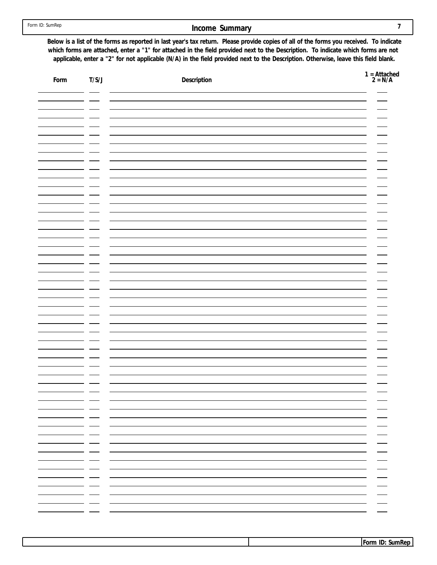# **Income Summary 7**

**Below is a list of the forms as reported in last year's tax return. Please provide copies of all of the forms you received. To indicate which forms are attached, enter a "1" for attached in the field provided next to the Description. To indicate which forms are not applicable, enter a "2" for not applicable (N/A) in the field provided next to the Description. Otherwise, leave this field blank.**

| Form | T/S/J                                    | Description              | $1 =$ Attached<br>$2 = N/A$                               |
|------|------------------------------------------|--------------------------|-----------------------------------------------------------|
|      |                                          |                          |                                                           |
|      |                                          |                          |                                                           |
|      |                                          |                          |                                                           |
|      |                                          |                          |                                                           |
|      |                                          |                          |                                                           |
|      |                                          |                          |                                                           |
|      |                                          |                          |                                                           |
|      |                                          |                          |                                                           |
|      |                                          |                          |                                                           |
|      |                                          |                          |                                                           |
|      |                                          |                          |                                                           |
|      |                                          |                          |                                                           |
|      |                                          |                          |                                                           |
|      |                                          |                          |                                                           |
|      |                                          |                          |                                                           |
|      |                                          |                          |                                                           |
|      |                                          |                          |                                                           |
|      |                                          |                          |                                                           |
|      | - -<br>— —                               |                          |                                                           |
|      | — —<br>— —                               | $\sim$ $-$<br>$\sim$ $-$ |                                                           |
|      | — —<br>— —                               | $\sim$ $-$               | $\overbrace{\phantom{aaaaa}}$<br>$\overline{\phantom{a}}$ |
|      | — —<br>— —                               |                          | $\overline{\phantom{a}}$<br>$\overline{\phantom{a}}$      |
|      | — —<br>— —                               |                          | $\overline{\phantom{a}}$<br>$\overline{\phantom{a}}$      |
|      | — —<br>— —                               |                          | $\overbrace{\hspace{15em}}$<br>$\hspace{0.05cm}$          |
|      | - - -<br>- -<br>$\overline{\phantom{0}}$ | $\overline{\phantom{0}}$ |                                                           |
|      | - -<br>$\overline{\phantom{0}}$          |                          |                                                           |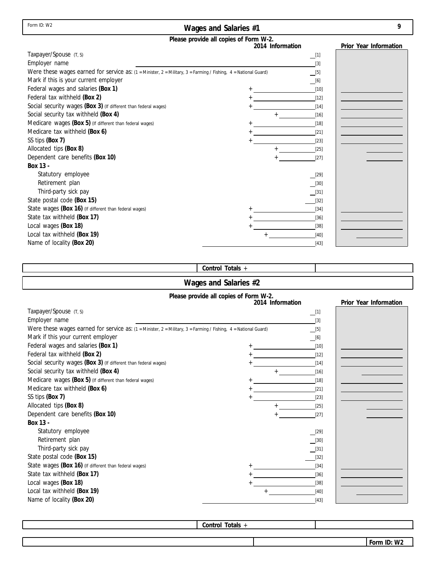| Form ID: W2 |  |  |
|-------------|--|--|
|-------------|--|--|

# **Wages and Salaries #1**

| ., |   |   |
|----|---|---|
|    |   |   |
|    |   |   |
|    | ¢ |   |
|    |   | I |

|                                                                                                                         | Please provide all copies of Form W-2. |                        |
|-------------------------------------------------------------------------------------------------------------------------|----------------------------------------|------------------------|
|                                                                                                                         | 2014 Information                       | Prior Year Information |
| Taxpayer/Spouse (T, S)                                                                                                  | $\_$ [1]                               |                        |
| Employer name                                                                                                           | $[3]$                                  |                        |
| Were these wages earned for service as: $(1 =$ Minister, $2 =$ Military, $3 =$ Farming / Fishing, $4 =$ National Guard) | $[5]$                                  |                        |
| Mark if this is your current employer                                                                                   | [6]                                    |                        |
| Federal wages and salaries (Box 1)                                                                                      | $[10]$                                 |                        |
| Federal tax withheld (Box 2)                                                                                            | $[12]$                                 |                        |
| Social security wages (Box 3) (If different than federal wages)                                                         | $[14]$                                 |                        |
| Social security tax withheld (Box 4)                                                                                    | $[16]$                                 |                        |
| Medicare wages (Box 5) (If different than federal wages)                                                                | $[18]$                                 |                        |
| Medicare tax withheld (Box 6)                                                                                           | $[21]$                                 |                        |
| SS tips (Box 7)                                                                                                         | $[23]$                                 |                        |
| Allocated tips (Box 8)                                                                                                  | $[25]$                                 |                        |
| Dependent care benefits (Box 10)                                                                                        | $[27]$                                 |                        |
| Box 13 -                                                                                                                |                                        |                        |
| Statutory employee                                                                                                      | [29]                                   |                        |
| Retirement plan                                                                                                         | $[30]$                                 |                        |
| Third-party sick pay                                                                                                    | [31]                                   |                        |
| State postal code (Box 15)                                                                                              | $[32]$                                 |                        |
| State wages (Box 16) (If different than federal wages)                                                                  | $[34]$                                 |                        |
| State tax withheld (Box 17)                                                                                             | $[36]$                                 |                        |
| Local wages (Box 18)                                                                                                    | $[38]$                                 |                        |
| Local tax withheld (Box 19)                                                                                             | $[40]$                                 |                        |
| Name of locality (Box 20)                                                                                               | $[43]$                                 |                        |

# **Control Totals** +

# **Wages and Salaries #2**

|                                                                                                                        | Please provide all copies of Form W-2.<br>2014 Information | Prior Year Information |
|------------------------------------------------------------------------------------------------------------------------|------------------------------------------------------------|------------------------|
| Taxpayer/Spouse (T, S)                                                                                                 | $\Box$ [1]                                                 |                        |
| Employer name                                                                                                          | $[3]$                                                      |                        |
| Were these wages earned for service as: $(1)$ = Minister, $2$ = Military, $3$ = Farming / Fishing, 4 = National Guard) | $\boxed{[5]}$                                              |                        |
| Mark if this your current employer                                                                                     | [6]                                                        |                        |
| Federal wages and salaries (Box 1)                                                                                     | $[10]$                                                     |                        |
| Federal tax withheld (Box 2)                                                                                           | $[12]$<br>$\ddot{}$                                        |                        |
| Social security wages (Box 3) (If different than federal wages)                                                        | [14]                                                       |                        |
| Social security tax withheld (Box 4)                                                                                   | $[16]$                                                     |                        |
| Medicare wages (Box 5) (If different than federal wages)                                                               | [18]                                                       |                        |
| Medicare tax withheld (Box 6)                                                                                          | $[21]$                                                     |                        |
| SS tips (Box 7)                                                                                                        | $[23]$                                                     |                        |
| Allocated tips (Box 8)                                                                                                 | $[25]$                                                     |                        |
| Dependent care benefits (Box 10)                                                                                       | $[27]$                                                     |                        |
| Box 13 -                                                                                                               |                                                            |                        |
| Statutory employee                                                                                                     | $[29]$                                                     |                        |
| Retirement plan                                                                                                        | $[30]$                                                     |                        |
| Third-party sick pay                                                                                                   | $[31]$                                                     |                        |
| State postal code (Box 15)                                                                                             | $[32]$                                                     |                        |
| State wages (Box 16) (If different than federal wages)                                                                 | $[34]$                                                     |                        |
| State tax withheld (Box 17)                                                                                            | $[36]$                                                     |                        |
| Local wages (Box 18)                                                                                                   | $[38]$                                                     |                        |
| Local tax withheld (Box 19)                                                                                            | $[40]$                                                     |                        |
| Name of locality (Box 20)                                                                                              | $[43]$                                                     |                        |

**Control Totals** +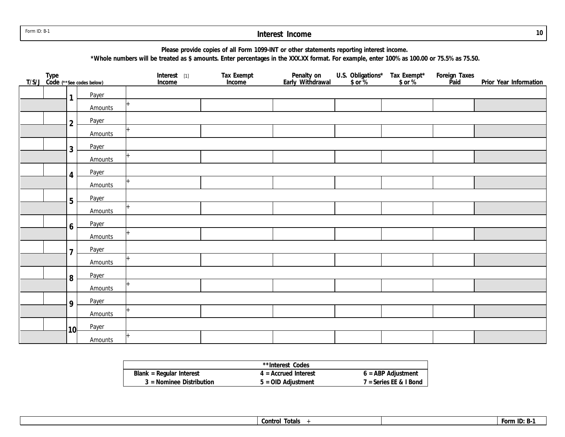Form ID: B-1

#### **Interest Income**

**Please provide copies of all Form 1099-INT or other statements reporting interest income.**

**\*Whole numbers will be treated as \$ amounts. Enter percentages in the XXX.XX format. For example, enter 100% as 100.00 or 75.5% as 75.50.**

|  |                 | Type<br>T/S/J_Code (**see codes below) | Interest [1]<br>Income | Tax Exempt<br>Income | Penalty on<br>Early Withdrawal | U.S. Obligations* Tax Exempt*<br>\$ or % \$ or % | Foreign Taxes<br>Paid | Prior Year Information |
|--|-----------------|----------------------------------------|------------------------|----------------------|--------------------------------|--------------------------------------------------|-----------------------|------------------------|
|  | $\mathbf{1}$    | Payer                                  |                        |                      |                                |                                                  |                       |                        |
|  |                 | Amounts                                |                        |                      |                                |                                                  |                       |                        |
|  | $\overline{2}$  | Payer                                  |                        |                      |                                |                                                  |                       |                        |
|  |                 | Amounts                                |                        |                      |                                |                                                  |                       |                        |
|  | 3               | Payer                                  |                        |                      |                                |                                                  |                       |                        |
|  |                 | Amounts                                |                        |                      |                                |                                                  |                       |                        |
|  | 4               | Payer                                  |                        |                      |                                |                                                  |                       |                        |
|  |                 | Amounts                                |                        |                      |                                |                                                  |                       |                        |
|  | 5               | Payer                                  |                        |                      |                                |                                                  |                       |                        |
|  |                 | Amounts                                |                        |                      |                                |                                                  |                       |                        |
|  | 6               | Payer                                  |                        |                      |                                |                                                  |                       |                        |
|  |                 | Amounts                                |                        |                      |                                |                                                  |                       |                        |
|  | $\overline{7}$  | Payer                                  |                        |                      |                                |                                                  |                       |                        |
|  |                 | Amounts                                |                        |                      |                                |                                                  |                       |                        |
|  | 8               | Payer                                  |                        |                      |                                |                                                  |                       |                        |
|  |                 | Amounts                                |                        |                      |                                |                                                  |                       |                        |
|  | 9               | Payer                                  |                        |                      |                                |                                                  |                       |                        |
|  |                 | Amounts                                |                        |                      |                                |                                                  |                       |                        |
|  | 10 <sup>l</sup> | Payer                                  |                        |                      |                                |                                                  |                       |                        |
|  |                 | Amounts                                |                        |                      |                                |                                                  |                       |                        |

|                            | **Interest Codes       |                          |
|----------------------------|------------------------|--------------------------|
| Blank = Regular Interest   | $4$ = Accrued Interest | $6 = ABP$ Adjustment     |
| $3$ = Nominee Distribution | $5 =$ OID Adjustment   | $7 =$ Series EE & I Bond |

**Control Totals** + **Form ID: B-1**

**10**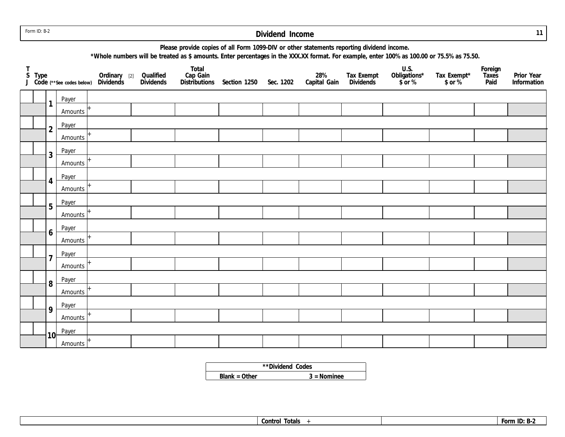Form ID: B-2

# **Dividend Income**

**11**

| Please provide copies of all Form 1099-DIV or other statements reporting dividend income. |  |
|-------------------------------------------------------------------------------------------|--|
|-------------------------------------------------------------------------------------------|--|

**\*Whole numbers will be treated as \$ amounts. Enter percentages in the XXX.XX format. For example, enter 100% as 100.00 or 75.5% as 75.50.**

|  |                         |         | T<br>S Type<br>J Code (**See codes below) Dividends<br>The Code (**See codes below) Dividends<br>The Code Care Codes below) Dividends<br>The Code Care Codes below Dividends<br>The Code Care Codes below Dividends |  | Total<br>Cap Gain<br>Distributions Section 1250 Sec. 1202 | 28%<br>Capital Gain | Tax Exempt<br>Dividends | U.S.<br>Obligations*<br>$$ or %$ | Tax Exempt*<br>\$ or % | Foreign<br>Taxes<br>Paid | Prior Year<br>Information |
|--|-------------------------|---------|---------------------------------------------------------------------------------------------------------------------------------------------------------------------------------------------------------------------|--|-----------------------------------------------------------|---------------------|-------------------------|----------------------------------|------------------------|--------------------------|---------------------------|
|  | Payer                   |         |                                                                                                                                                                                                                     |  |                                                           |                     |                         |                                  |                        |                          |                           |
|  | $\mathbf{1}$            | Amounts |                                                                                                                                                                                                                     |  |                                                           |                     |                         |                                  |                        |                          |                           |
|  | $\overline{2}$          | Payer   |                                                                                                                                                                                                                     |  |                                                           |                     |                         |                                  |                        |                          |                           |
|  |                         | Amounts |                                                                                                                                                                                                                     |  |                                                           |                     |                         |                                  |                        |                          |                           |
|  | $\mathfrak{Z}$          | Payer   |                                                                                                                                                                                                                     |  |                                                           |                     |                         |                                  |                        |                          |                           |
|  |                         | Amounts |                                                                                                                                                                                                                     |  |                                                           |                     |                         |                                  |                        |                          |                           |
|  | Payer<br>$\overline{4}$ |         |                                                                                                                                                                                                                     |  |                                                           |                     |                         |                                  |                        |                          |                           |
|  |                         | Amounts |                                                                                                                                                                                                                     |  |                                                           |                     |                         |                                  |                        |                          |                           |
|  | 5                       | Payer   |                                                                                                                                                                                                                     |  |                                                           |                     |                         |                                  |                        |                          |                           |
|  |                         | Amounts |                                                                                                                                                                                                                     |  |                                                           |                     |                         |                                  |                        |                          |                           |
|  | 6                       | Payer   |                                                                                                                                                                                                                     |  |                                                           |                     |                         |                                  |                        |                          |                           |
|  |                         | Amounts |                                                                                                                                                                                                                     |  |                                                           |                     |                         |                                  |                        |                          |                           |
|  | $\overline{7}$          | Payer   |                                                                                                                                                                                                                     |  |                                                           |                     |                         |                                  |                        |                          |                           |
|  |                         | Amounts |                                                                                                                                                                                                                     |  |                                                           |                     |                         |                                  |                        |                          |                           |
|  | Payer<br>8              |         |                                                                                                                                                                                                                     |  |                                                           |                     |                         |                                  |                        |                          |                           |
|  |                         | Amounts |                                                                                                                                                                                                                     |  |                                                           |                     |                         |                                  |                        |                          |                           |
|  | 9                       | Payer   |                                                                                                                                                                                                                     |  |                                                           |                     |                         |                                  |                        |                          |                           |
|  |                         | Amounts |                                                                                                                                                                                                                     |  |                                                           |                     |                         |                                  |                        |                          |                           |
|  | Payer<br>10             |         |                                                                                                                                                                                                                     |  |                                                           |                     |                         |                                  |                        |                          |                           |
|  |                         | Amounts |                                                                                                                                                                                                                     |  |                                                           |                     |                         |                                  |                        |                          |                           |

**\*\*Dividend Codes**

**Blank = Other 3 = Nominee**

|--|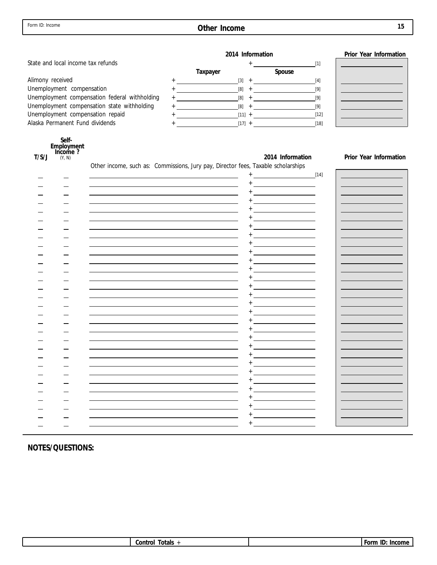**Other Income** 

| I |         |
|---|---------|
|   | ×<br>۰. |
|   |         |

|                                                    |                                                                                                                                                                                                                                                                                                                                                     | 2014 Information                                                                                                                                  | Prior Year Information |
|----------------------------------------------------|-----------------------------------------------------------------------------------------------------------------------------------------------------------------------------------------------------------------------------------------------------------------------------------------------------------------------------------------------------|---------------------------------------------------------------------------------------------------------------------------------------------------|------------------------|
| State and local income tax refunds                 |                                                                                                                                                                                                                                                                                                                                                     | $\begin{tabular}{c} + & \textcolor{red}{\textbf{1}} & \textcolor{red}{\textbf{1}} & \textcolor{red}{\textbf{1}} \\ \hline \end{tabular}$<br>$[1]$ |                        |
|                                                    | Taxpayer                                                                                                                                                                                                                                                                                                                                            | Spouse                                                                                                                                            |                        |
| Alimony received                                   |                                                                                                                                                                                                                                                                                                                                                     | $[4]$                                                                                                                                             |                        |
| Unemployment compensation                          |                                                                                                                                                                                                                                                                                                                                                     |                                                                                                                                                   |                        |
| Unemployment compensation federal withholding      |                                                                                                                                                                                                                                                                                                                                                     | $[9]$                                                                                                                                             |                        |
| Unemployment compensation state withholding        | $\begin{picture}(150,10) \put(0,0){\line(1,0){10}} \put(15,0){\line(1,0){10}} \put(15,0){\line(1,0){10}} \put(15,0){\line(1,0){10}} \put(15,0){\line(1,0){10}} \put(15,0){\line(1,0){10}} \put(15,0){\line(1,0){10}} \put(15,0){\line(1,0){10}} \put(15,0){\line(1,0){10}} \put(15,0){\line(1,0){10}} \put(15,0){\line(1,0){10}} \put(15,0){\line($ | [9]                                                                                                                                               |                        |
| Unemployment compensation repaid                   |                                                                                                                                                                                                                                                                                                                                                     |                                                                                                                                                   |                        |
| Alaska Permanent Fund dividends                    | $+$ [17] $+$ [17] $+$ [18]                                                                                                                                                                                                                                                                                                                          |                                                                                                                                                   |                        |
| Self-<br>Employment<br>Income ?<br>T/S/J<br>(Y, N) | Other income, such as: Commissions, Jury pay, Director fees, Taxable scholarships                                                                                                                                                                                                                                                                   | 2014 Information                                                                                                                                  | Prior Year Information |
|                                                    | <u> 1989 - Johann Stoff, deutscher Stoffen und der Stoffen und der Stoffen und der Stoffen und der Stoffen und der</u>                                                                                                                                                                                                                              |                                                                                                                                                   |                        |
|                                                    |                                                                                                                                                                                                                                                                                                                                                     | $^{+}$<br><u> 1999 - Johann Barbara, martin a</u>                                                                                                 |                        |
|                                                    |                                                                                                                                                                                                                                                                                                                                                     |                                                                                                                                                   |                        |
|                                                    |                                                                                                                                                                                                                                                                                                                                                     |                                                                                                                                                   |                        |
|                                                    |                                                                                                                                                                                                                                                                                                                                                     |                                                                                                                                                   |                        |
|                                                    |                                                                                                                                                                                                                                                                                                                                                     |                                                                                                                                                   |                        |
|                                                    |                                                                                                                                                                                                                                                                                                                                                     |                                                                                                                                                   |                        |
|                                                    |                                                                                                                                                                                                                                                                                                                                                     |                                                                                                                                                   |                        |
|                                                    |                                                                                                                                                                                                                                                                                                                                                     |                                                                                                                                                   |                        |
|                                                    |                                                                                                                                                                                                                                                                                                                                                     |                                                                                                                                                   |                        |
|                                                    |                                                                                                                                                                                                                                                                                                                                                     |                                                                                                                                                   |                        |
|                                                    |                                                                                                                                                                                                                                                                                                                                                     |                                                                                                                                                   |                        |
|                                                    |                                                                                                                                                                                                                                                                                                                                                     | <u> 1989 - Johann Barbara, martin a</u>                                                                                                           |                        |
|                                                    |                                                                                                                                                                                                                                                                                                                                                     | <u> 1990 - Johann Barbara, martin a</u>                                                                                                           |                        |
|                                                    |                                                                                                                                                                                                                                                                                                                                                     | <u> 1990 - Johann Barbara, martin a</u>                                                                                                           |                        |
|                                                    |                                                                                                                                                                                                                                                                                                                                                     |                                                                                                                                                   |                        |
|                                                    |                                                                                                                                                                                                                                                                                                                                                     |                                                                                                                                                   |                        |
|                                                    |                                                                                                                                                                                                                                                                                                                                                     |                                                                                                                                                   |                        |
|                                                    |                                                                                                                                                                                                                                                                                                                                                     | <u> 1990 - Johann Barbara, martin a</u>                                                                                                           |                        |
|                                                    |                                                                                                                                                                                                                                                                                                                                                     | <u> 1990 - Johann Barbara, martin a</u>                                                                                                           |                        |
|                                                    |                                                                                                                                                                                                                                                                                                                                                     |                                                                                                                                                   |                        |
|                                                    |                                                                                                                                                                                                                                                                                                                                                     | <u> 1990 - Johann Barbara, martin a</u>                                                                                                           |                        |
|                                                    |                                                                                                                                                                                                                                                                                                                                                     |                                                                                                                                                   |                        |
|                                                    |                                                                                                                                                                                                                                                                                                                                                     |                                                                                                                                                   |                        |
|                                                    |                                                                                                                                                                                                                                                                                                                                                     |                                                                                                                                                   |                        |
|                                                    |                                                                                                                                                                                                                                                                                                                                                     | $^+$                                                                                                                                              |                        |
|                                                    |                                                                                                                                                                                                                                                                                                                                                     |                                                                                                                                                   |                        |
|                                                    |                                                                                                                                                                                                                                                                                                                                                     |                                                                                                                                                   |                        |
|                                                    |                                                                                                                                                                                                                                                                                                                                                     | $^+$                                                                                                                                              |                        |
|                                                    |                                                                                                                                                                                                                                                                                                                                                     |                                                                                                                                                   |                        |
|                                                    |                                                                                                                                                                                                                                                                                                                                                     |                                                                                                                                                   |                        |

|  | <b>Control</b><br>otals |  |  | . Form<br>-ID:<br>١r<br>,,,,,,,,<br>. |
|--|-------------------------|--|--|---------------------------------------|
|--|-------------------------|--|--|---------------------------------------|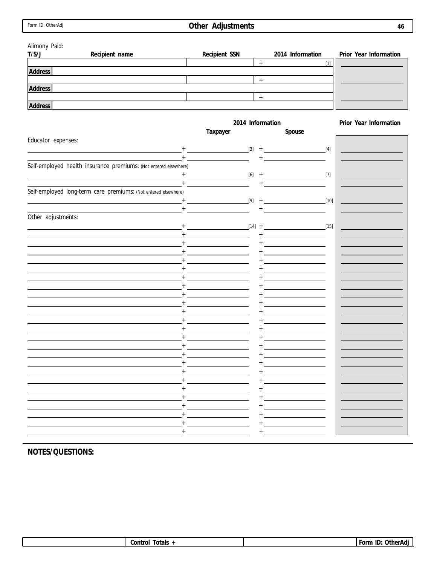# **Other Adjustments**

**46**

-

| Alimony Paid:                                                    |                                                                                                                                                                                                                                                                                                                                                                                             |                                                                                                                                                                                                                                                                                                                                                     |                        |
|------------------------------------------------------------------|---------------------------------------------------------------------------------------------------------------------------------------------------------------------------------------------------------------------------------------------------------------------------------------------------------------------------------------------------------------------------------------------|-----------------------------------------------------------------------------------------------------------------------------------------------------------------------------------------------------------------------------------------------------------------------------------------------------------------------------------------------------|------------------------|
| T/S/J<br>Recipient name                                          | Recipient SSN                                                                                                                                                                                                                                                                                                                                                                               | 2014 Information                                                                                                                                                                                                                                                                                                                                    | Prior Year Information |
|                                                                  |                                                                                                                                                                                                                                                                                                                                                                                             | $+$<br>$[1]$                                                                                                                                                                                                                                                                                                                                        |                        |
| Address                                                          |                                                                                                                                                                                                                                                                                                                                                                                             |                                                                                                                                                                                                                                                                                                                                                     |                        |
|                                                                  |                                                                                                                                                                                                                                                                                                                                                                                             | $+$                                                                                                                                                                                                                                                                                                                                                 |                        |
| Address                                                          |                                                                                                                                                                                                                                                                                                                                                                                             |                                                                                                                                                                                                                                                                                                                                                     |                        |
|                                                                  |                                                                                                                                                                                                                                                                                                                                                                                             | $+$                                                                                                                                                                                                                                                                                                                                                 |                        |
| Address                                                          |                                                                                                                                                                                                                                                                                                                                                                                             |                                                                                                                                                                                                                                                                                                                                                     |                        |
|                                                                  |                                                                                                                                                                                                                                                                                                                                                                                             |                                                                                                                                                                                                                                                                                                                                                     |                        |
|                                                                  |                                                                                                                                                                                                                                                                                                                                                                                             | 2014 Information                                                                                                                                                                                                                                                                                                                                    | Prior Year Information |
|                                                                  | Taxpayer                                                                                                                                                                                                                                                                                                                                                                                    | Spouse                                                                                                                                                                                                                                                                                                                                              |                        |
| Educator expenses:                                               |                                                                                                                                                                                                                                                                                                                                                                                             |                                                                                                                                                                                                                                                                                                                                                     |                        |
|                                                                  |                                                                                                                                                                                                                                                                                                                                                                                             | $+$ (4]                                                                                                                                                                                                                                                                                                                                             |                        |
|                                                                  | $\begin{picture}(150,10) \put(0,0){\dashbox{0.5}(10,0){ }} \put(15,0){\circle{10}} \put(15,0){\circle{10}} \put(15,0){\circle{10}} \put(15,0){\circle{10}} \put(15,0){\circle{10}} \put(15,0){\circle{10}} \put(15,0){\circle{10}} \put(15,0){\circle{10}} \put(15,0){\circle{10}} \put(15,0){\circle{10}} \put(15,0){\circle{10}} \put(15,0){\circle{10}} \put(15,0){\circle{10}} \put(15$ |                                                                                                                                                                                                                                                                                                                                                     |                        |
| Self-employed health insurance premiums: (Not entered elsewhere) |                                                                                                                                                                                                                                                                                                                                                                                             |                                                                                                                                                                                                                                                                                                                                                     |                        |
|                                                                  | $+$ [6] $+$                                                                                                                                                                                                                                                                                                                                                                                 | $\overline{[7]}$                                                                                                                                                                                                                                                                                                                                    |                        |
|                                                                  | <u> 1989 - Andrea State Barbara, política establece</u>                                                                                                                                                                                                                                                                                                                                     |                                                                                                                                                                                                                                                                                                                                                     |                        |
| Self-employed long-term care premiums: (Not entered elsewhere)   |                                                                                                                                                                                                                                                                                                                                                                                             |                                                                                                                                                                                                                                                                                                                                                     |                        |
|                                                                  | $[9]$ +                                                                                                                                                                                                                                                                                                                                                                                     | $\begin{picture}(10,10) \put(0,0){\line(1,0){10}} \put(10,0){\line(1,0){10}} \put(10,0){\line(1,0){10}} \put(10,0){\line(1,0){10}} \put(10,0){\line(1,0){10}} \put(10,0){\line(1,0){10}} \put(10,0){\line(1,0){10}} \put(10,0){\line(1,0){10}} \put(10,0){\line(1,0){10}} \put(10,0){\line(1,0){10}} \put(10,0){\line(1,0){10}} \put(10,0){\line(1$ |                        |
|                                                                  | $\begin{tabular}{c} + & \textcolor{red}{\textbf{---}} & \textcolor{red}{\textbf{---}} \\ \hline \end{tabular}$                                                                                                                                                                                                                                                                              |                                                                                                                                                                                                                                                                                                                                                     |                        |
| Other adjustments:                                               |                                                                                                                                                                                                                                                                                                                                                                                             |                                                                                                                                                                                                                                                                                                                                                     |                        |
|                                                                  | $[14] +$<br><u>+ ____________________</u>                                                                                                                                                                                                                                                                                                                                                   |                                                                                                                                                                                                                                                                                                                                                     |                        |
|                                                                  |                                                                                                                                                                                                                                                                                                                                                                                             | the control of the control of the control of                                                                                                                                                                                                                                                                                                        |                        |
|                                                                  |                                                                                                                                                                                                                                                                                                                                                                                             | the company of the company of the                                                                                                                                                                                                                                                                                                                   |                        |
|                                                                  |                                                                                                                                                                                                                                                                                                                                                                                             |                                                                                                                                                                                                                                                                                                                                                     |                        |
|                                                                  |                                                                                                                                                                                                                                                                                                                                                                                             |                                                                                                                                                                                                                                                                                                                                                     |                        |
|                                                                  |                                                                                                                                                                                                                                                                                                                                                                                             |                                                                                                                                                                                                                                                                                                                                                     |                        |
|                                                                  |                                                                                                                                                                                                                                                                                                                                                                                             | the control of the control of the control of                                                                                                                                                                                                                                                                                                        |                        |
|                                                                  |                                                                                                                                                                                                                                                                                                                                                                                             | the control of the control of the control of                                                                                                                                                                                                                                                                                                        |                        |
|                                                                  |                                                                                                                                                                                                                                                                                                                                                                                             | the control of the control of the control of                                                                                                                                                                                                                                                                                                        |                        |
|                                                                  |                                                                                                                                                                                                                                                                                                                                                                                             | the control of the control of the control of                                                                                                                                                                                                                                                                                                        |                        |
|                                                                  |                                                                                                                                                                                                                                                                                                                                                                                             | <u> 1989 - Johann Barn, mars ann an t-</u>                                                                                                                                                                                                                                                                                                          |                        |
|                                                                  |                                                                                                                                                                                                                                                                                                                                                                                             | <u> 1989 - Johann Barn, mars ann an t-</u>                                                                                                                                                                                                                                                                                                          |                        |
|                                                                  |                                                                                                                                                                                                                                                                                                                                                                                             | <u> 1989 - Johann Barn, mars ann an t-</u>                                                                                                                                                                                                                                                                                                          |                        |
|                                                                  |                                                                                                                                                                                                                                                                                                                                                                                             |                                                                                                                                                                                                                                                                                                                                                     |                        |
|                                                                  |                                                                                                                                                                                                                                                                                                                                                                                             |                                                                                                                                                                                                                                                                                                                                                     |                        |
|                                                                  |                                                                                                                                                                                                                                                                                                                                                                                             |                                                                                                                                                                                                                                                                                                                                                     |                        |
|                                                                  |                                                                                                                                                                                                                                                                                                                                                                                             |                                                                                                                                                                                                                                                                                                                                                     |                        |
|                                                                  |                                                                                                                                                                                                                                                                                                                                                                                             |                                                                                                                                                                                                                                                                                                                                                     |                        |
|                                                                  |                                                                                                                                                                                                                                                                                                                                                                                             |                                                                                                                                                                                                                                                                                                                                                     |                        |
|                                                                  |                                                                                                                                                                                                                                                                                                                                                                                             |                                                                                                                                                                                                                                                                                                                                                     |                        |
|                                                                  |                                                                                                                                                                                                                                                                                                                                                                                             |                                                                                                                                                                                                                                                                                                                                                     |                        |
|                                                                  |                                                                                                                                                                                                                                                                                                                                                                                             |                                                                                                                                                                                                                                                                                                                                                     |                        |
|                                                                  |                                                                                                                                                                                                                                                                                                                                                                                             |                                                                                                                                                                                                                                                                                                                                                     |                        |
|                                                                  |                                                                                                                                                                                                                                                                                                                                                                                             |                                                                                                                                                                                                                                                                                                                                                     |                        |
|                                                                  |                                                                                                                                                                                                                                                                                                                                                                                             |                                                                                                                                                                                                                                                                                                                                                     |                        |

| Dth:<br>c0rr<br>t n Ic<br>ш<br>11.<br>viais<br> |
|-------------------------------------------------|
|-------------------------------------------------|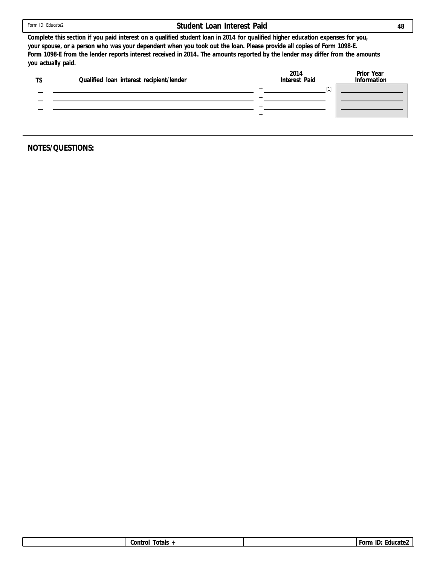|  | Form ID: Educate2 |
|--|-------------------|
|  |                   |

### **Student Loan Interest Paid**

**Complete this section if you paid interest on a qualified student loan in 2014 for qualified higher education expenses for you, your spouse, or a person who was your dependent when you took out the loan. Please provide all copies of Form 1098-E. Form 1098-E from the lender reports interest received in 2014. The amounts reported by the lender may differ from the amounts you actually paid.**

| Qualified loan interest recipient/lender | 2014<br>Interest Paid | Prior Year<br>Information |
|------------------------------------------|-----------------------|---------------------------|
|                                          |                       |                           |
|                                          |                       |                           |
|                                          |                       |                           |
|                                          |                       |                           |
|                                          |                       |                           |

|  |  | <b>Control</b><br>otals<br>--- |  | $\overline{\phantom{0}}$<br>$r$ Orm<br>. .<br>ducate <sup>.</sup><br>IU.<br>$\ddotsc$ |
|--|--|--------------------------------|--|---------------------------------------------------------------------------------------|
|--|--|--------------------------------|--|---------------------------------------------------------------------------------------|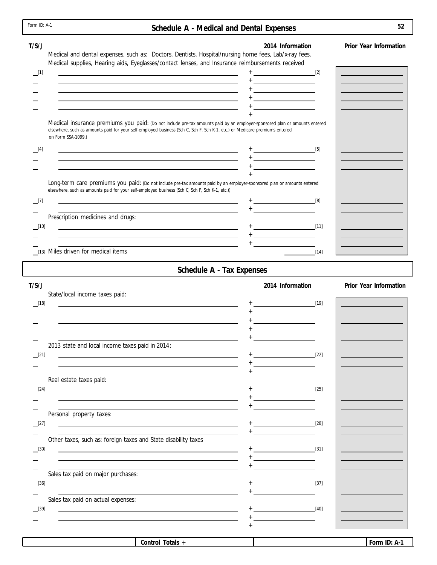|             | Form ID: A-1<br>Schedule A - Medical and Dental Expenses                                                                                                                                                                                                                                                                        |                                                                                               | 52                                      |
|-------------|---------------------------------------------------------------------------------------------------------------------------------------------------------------------------------------------------------------------------------------------------------------------------------------------------------------------------------|-----------------------------------------------------------------------------------------------|-----------------------------------------|
| T/S/J       | Medical and dental expenses, such as: Doctors, Dentists, Hospital/nursing home fees, Lab/x-ray fees,                                                                                                                                                                                                                            | 2014 Information                                                                              | Prior Year Information                  |
| $\Box$ [1]  | Medical supplies, Hearing aids, Eyeglasses/contact lenses, and Insurance reimbursements received<br><u> 1989 - Johann Stoff, deutscher Stoff, der Stoff, der Stoff, der Stoff, der Stoff, der Stoff, der Stoff, der S</u>                                                                                                       | [2]                                                                                           |                                         |
|             |                                                                                                                                                                                                                                                                                                                                 | <u> 1990 - Johann Barn, mars ann an t-Saint-</u><br>the control of the control of the control |                                         |
|             |                                                                                                                                                                                                                                                                                                                                 | <u> 1989 - Johann Barn, mars ann an t-Saint-</u>                                              |                                         |
|             |                                                                                                                                                                                                                                                                                                                                 | <u> 1990 - Johann Barn, mars ann an t-Saint-</u>                                              |                                         |
|             | Medical insurance premiums you paid: (Do not include pre-tax amounts paid by an employer-sponsored plan or amounts entered<br>elsewhere, such as amounts paid for your self-employed business (Sch C, Sch F, Sch K-1, etc.) or Medicare premiums entered<br>on Form SSA-1099.)                                                  |                                                                                               |                                         |
| [4]         | <u> 1989 - Johann Stoff, amerikansk politiker (* 1908)</u>                                                                                                                                                                                                                                                                      | $\sqrt{5}$                                                                                    |                                         |
|             | <u> 1989 - Johann Stoff, amerikansk politiker (d. 1989)</u>                                                                                                                                                                                                                                                                     |                                                                                               | <u> 1990 - Jan Barbara (</u>            |
|             | Long-term care premiums you paid: (Do not include pre-tax amounts paid by an employer-sponsored plan or amounts entered                                                                                                                                                                                                         |                                                                                               |                                         |
| $\Box$ [7]  | elsewhere, such as amounts paid for your self-employed business (Sch C, Sch F, Sch K-1, etc.))<br>the control of the control of the control of the control of the control of the control of the control of the control of the control of the control of the control of the control of the control of the control of the control |                                                                                               |                                         |
|             |                                                                                                                                                                                                                                                                                                                                 |                                                                                               |                                         |
| $[10]$      | Prescription medicines and drugs:<br><u> 1989 - Johann Barn, mars et al. (b. 1989)</u>                                                                                                                                                                                                                                          |                                                                                               |                                         |
|             | the control of the control of the control of the control of the control of the control of the control of the control of the control of the control of the control of the control of the control of the control of the control<br>the contract of the contract of the contract of the contract of the contract of                | <u> 1989 - Johann Barbara, martin a</u>                                                       |                                         |
|             | [13] Miles driven for medical items                                                                                                                                                                                                                                                                                             | $[14]$                                                                                        |                                         |
|             | Schedule A - Tax Expenses                                                                                                                                                                                                                                                                                                       |                                                                                               |                                         |
| T/S/J       |                                                                                                                                                                                                                                                                                                                                 | 2014 Information                                                                              | Prior Year Information                  |
| $[18]$      | State/local income taxes paid:                                                                                                                                                                                                                                                                                                  | $\overline{\hspace{1cm}}$ [19]                                                                |                                         |
|             | <u> 1989 - Johann Barbara, marka a shekara tsa 1989 - An tsa 1989 - An tsa 1989 - An tsa 1989 - An tsa 1989 - An</u>                                                                                                                                                                                                            | <u> 1989 - Johann Barn, mars ann an t-Amhair an t-A</u>                                       | <u> 1989 - Johann Barbara, martxa a</u> |
|             |                                                                                                                                                                                                                                                                                                                                 |                                                                                               |                                         |
|             | 2013 state and local income taxes paid in 2014:                                                                                                                                                                                                                                                                                 |                                                                                               |                                         |
| [21]        | <u> 1989 - Johann Stoff, deutscher Stoffen und der Stoffen und der Stoffen und der Stoffen und der Stoffen und der</u>                                                                                                                                                                                                          | [22]                                                                                          |                                         |
|             |                                                                                                                                                                                                                                                                                                                                 |                                                                                               |                                         |
| $\Box$ [24] | Real estate taxes paid:<br>the control of the control of the control of the control of the control of the control of the control of the control of the control of the control of the control of the control of the control of the control of the control                                                                        |                                                                                               |                                         |
|             |                                                                                                                                                                                                                                                                                                                                 |                                                                                               |                                         |
|             |                                                                                                                                                                                                                                                                                                                                 | $\overline{\phantom{a}}$ [25]                                                                 |                                         |
|             | Personal property taxes:                                                                                                                                                                                                                                                                                                        |                                                                                               |                                         |
| $\Box$ [27] | the control of the control of the control of the control of the control of the control of the control of the control of the control of the control of the control of the control of the control of the control of the control                                                                                                   | [28]                                                                                          |                                         |
|             | Other taxes, such as: foreign taxes and State disability taxes                                                                                                                                                                                                                                                                  |                                                                                               |                                         |
| $\Box$ [30] | <u> 1989 - Johann John Stone, markin film yn y brenin y brenin y brenin y brenin y brenin y brenin y brenin y br</u>                                                                                                                                                                                                            | [31]                                                                                          |                                         |
|             | <u> 1989 - Johann Stoff, amerikansk politiker (* 1908)</u>                                                                                                                                                                                                                                                                      |                                                                                               |                                         |
| [36]        | Sales tax paid on major purchases:<br><u> 1980 - Johann Barbara, martxa eta batailaria (h. 1980).</u>                                                                                                                                                                                                                           | [37]                                                                                          |                                         |
|             |                                                                                                                                                                                                                                                                                                                                 |                                                                                               |                                         |
| $[39]$      | Sales tax paid on actual expenses:<br>the contract of the contract of the contract of the contract of the contract of the contract of the contract of                                                                                                                                                                           | [40]                                                                                          |                                         |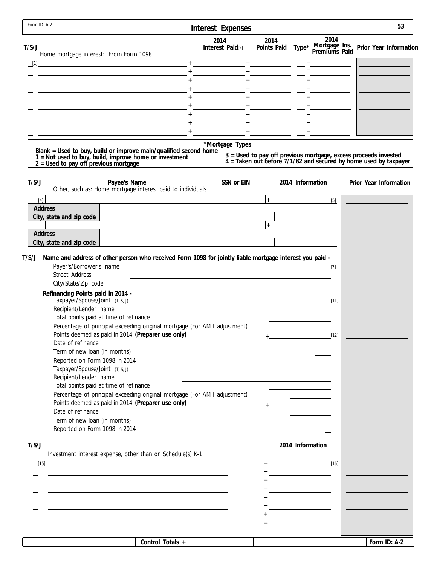| 2014<br>2014<br>2014<br>Type* Mortgage Ins. Prior Year Information<br>Premiums Paid<br>Interest Paid[2]<br>Points Paid<br>Home mortgage interest: From Form 1098<br>$\begin{bmatrix} 1 \end{bmatrix}$<br>$-$ + $     -$<br><u> 1989 - Johann John Stein, mars et al. († 1908)</u><br>$ +$ $      -$<br>$+$ $-$<br>$+$ $  -$<br><u> 1980 - Johann Barbara, martxa alemaniar a</u><br>*Mortgage Types<br>Blank = Used to buy, build or improve main/qualified second home 1 = Not used to buy, build, improve home or investment<br>3 = Used to pay off previous mortgage, excess proceeds invested<br>4 = Taken out before 7/1/82 and secured by home used by taxpayer<br>$2 =$ Used to pay off previous mortgage<br>T/S/J<br>Payee's Name<br>SSN or EIN<br>2014 Information<br>Prior Year Information<br>Other, such as: Home mortgage interest paid to individuals<br>$+$<br>$[4]$<br>$[5]$<br>Address<br>City, state and zip code<br>$+$<br>Address<br>City, state and zip code<br>Name and address of other person who received Form 1098 for jointly liable mortgage interest you paid -<br>Payer's/Borrower's name<br><u> 1989 - Johann Barn, amerikansk politiker (d. 1989)</u><br>$[7]$<br><b>Street Address</b><br>City/State/Zip code<br><u> 1989 - Johann Barn, mars eta biztanleria (h. 1918).</u><br>Refinancing Points paid in 2014 -<br>Taxpayer/Spouse/Joint (T, S, J)<br>$\Box$ [11]<br>Recipient/Lender name<br>Total points paid at time of refinance<br>Percentage of principal exceeding original mortgage (For AMT adjustment)<br>Points deemed as paid in 2014 (Preparer use only)<br>$[12]$<br>$+$ $-$<br>Date of refinance<br>Term of new loan (in months)<br>Reported on Form 1098 in 2014<br>Taxpayer/Spouse/Joint (T, S, J)<br>Recipient/Lender name<br>Total points paid at time of refinance<br>Percentage of principal exceeding original mortgage (For AMT adjustment)<br>Points deemed as paid in 2014 (Preparer use only)<br>Date of refinance<br>Term of new loan (in months)<br>Reported on Form 1098 in 2014<br>T/S/J<br>2014 Information<br>Investment interest expense, other than on Schedule(s) K-1:<br>$+$ [16]<br><u> 1989 - Johann Stoff, amerikansk politiker (* 1908)</u><br><u> 1989 - Johann Barnett, fransk kongresu</u><br>Control Totals +<br>Form ID: A-2 | Form ID: A-2 | Interest Expenses |  | 53 |
|--------------------------------------------------------------------------------------------------------------------------------------------------------------------------------------------------------------------------------------------------------------------------------------------------------------------------------------------------------------------------------------------------------------------------------------------------------------------------------------------------------------------------------------------------------------------------------------------------------------------------------------------------------------------------------------------------------------------------------------------------------------------------------------------------------------------------------------------------------------------------------------------------------------------------------------------------------------------------------------------------------------------------------------------------------------------------------------------------------------------------------------------------------------------------------------------------------------------------------------------------------------------------------------------------------------------------------------------------------------------------------------------------------------------------------------------------------------------------------------------------------------------------------------------------------------------------------------------------------------------------------------------------------------------------------------------------------------------------------------------------------------------------------------------------------------------------------------------------------------------------------------------------------------------------------------------------------------------------------------------------------------------------------------------------------------------------------------------------------------------------------------------------------------------------------------------------------------------------------------------------------------------------------------------------------------|--------------|-------------------|--|----|
|                                                                                                                                                                                                                                                                                                                                                                                                                                                                                                                                                                                                                                                                                                                                                                                                                                                                                                                                                                                                                                                                                                                                                                                                                                                                                                                                                                                                                                                                                                                                                                                                                                                                                                                                                                                                                                                                                                                                                                                                                                                                                                                                                                                                                                                                                                              | T/S/J        |                   |  |    |
|                                                                                                                                                                                                                                                                                                                                                                                                                                                                                                                                                                                                                                                                                                                                                                                                                                                                                                                                                                                                                                                                                                                                                                                                                                                                                                                                                                                                                                                                                                                                                                                                                                                                                                                                                                                                                                                                                                                                                                                                                                                                                                                                                                                                                                                                                                              |              |                   |  |    |
|                                                                                                                                                                                                                                                                                                                                                                                                                                                                                                                                                                                                                                                                                                                                                                                                                                                                                                                                                                                                                                                                                                                                                                                                                                                                                                                                                                                                                                                                                                                                                                                                                                                                                                                                                                                                                                                                                                                                                                                                                                                                                                                                                                                                                                                                                                              |              |                   |  |    |
|                                                                                                                                                                                                                                                                                                                                                                                                                                                                                                                                                                                                                                                                                                                                                                                                                                                                                                                                                                                                                                                                                                                                                                                                                                                                                                                                                                                                                                                                                                                                                                                                                                                                                                                                                                                                                                                                                                                                                                                                                                                                                                                                                                                                                                                                                                              |              |                   |  |    |
|                                                                                                                                                                                                                                                                                                                                                                                                                                                                                                                                                                                                                                                                                                                                                                                                                                                                                                                                                                                                                                                                                                                                                                                                                                                                                                                                                                                                                                                                                                                                                                                                                                                                                                                                                                                                                                                                                                                                                                                                                                                                                                                                                                                                                                                                                                              |              |                   |  |    |
|                                                                                                                                                                                                                                                                                                                                                                                                                                                                                                                                                                                                                                                                                                                                                                                                                                                                                                                                                                                                                                                                                                                                                                                                                                                                                                                                                                                                                                                                                                                                                                                                                                                                                                                                                                                                                                                                                                                                                                                                                                                                                                                                                                                                                                                                                                              |              |                   |  |    |
|                                                                                                                                                                                                                                                                                                                                                                                                                                                                                                                                                                                                                                                                                                                                                                                                                                                                                                                                                                                                                                                                                                                                                                                                                                                                                                                                                                                                                                                                                                                                                                                                                                                                                                                                                                                                                                                                                                                                                                                                                                                                                                                                                                                                                                                                                                              |              |                   |  |    |
|                                                                                                                                                                                                                                                                                                                                                                                                                                                                                                                                                                                                                                                                                                                                                                                                                                                                                                                                                                                                                                                                                                                                                                                                                                                                                                                                                                                                                                                                                                                                                                                                                                                                                                                                                                                                                                                                                                                                                                                                                                                                                                                                                                                                                                                                                                              |              |                   |  |    |
|                                                                                                                                                                                                                                                                                                                                                                                                                                                                                                                                                                                                                                                                                                                                                                                                                                                                                                                                                                                                                                                                                                                                                                                                                                                                                                                                                                                                                                                                                                                                                                                                                                                                                                                                                                                                                                                                                                                                                                                                                                                                                                                                                                                                                                                                                                              |              |                   |  |    |
|                                                                                                                                                                                                                                                                                                                                                                                                                                                                                                                                                                                                                                                                                                                                                                                                                                                                                                                                                                                                                                                                                                                                                                                                                                                                                                                                                                                                                                                                                                                                                                                                                                                                                                                                                                                                                                                                                                                                                                                                                                                                                                                                                                                                                                                                                                              |              |                   |  |    |
|                                                                                                                                                                                                                                                                                                                                                                                                                                                                                                                                                                                                                                                                                                                                                                                                                                                                                                                                                                                                                                                                                                                                                                                                                                                                                                                                                                                                                                                                                                                                                                                                                                                                                                                                                                                                                                                                                                                                                                                                                                                                                                                                                                                                                                                                                                              |              |                   |  |    |
|                                                                                                                                                                                                                                                                                                                                                                                                                                                                                                                                                                                                                                                                                                                                                                                                                                                                                                                                                                                                                                                                                                                                                                                                                                                                                                                                                                                                                                                                                                                                                                                                                                                                                                                                                                                                                                                                                                                                                                                                                                                                                                                                                                                                                                                                                                              |              |                   |  |    |
|                                                                                                                                                                                                                                                                                                                                                                                                                                                                                                                                                                                                                                                                                                                                                                                                                                                                                                                                                                                                                                                                                                                                                                                                                                                                                                                                                                                                                                                                                                                                                                                                                                                                                                                                                                                                                                                                                                                                                                                                                                                                                                                                                                                                                                                                                                              |              |                   |  |    |
|                                                                                                                                                                                                                                                                                                                                                                                                                                                                                                                                                                                                                                                                                                                                                                                                                                                                                                                                                                                                                                                                                                                                                                                                                                                                                                                                                                                                                                                                                                                                                                                                                                                                                                                                                                                                                                                                                                                                                                                                                                                                                                                                                                                                                                                                                                              |              |                   |  |    |
|                                                                                                                                                                                                                                                                                                                                                                                                                                                                                                                                                                                                                                                                                                                                                                                                                                                                                                                                                                                                                                                                                                                                                                                                                                                                                                                                                                                                                                                                                                                                                                                                                                                                                                                                                                                                                                                                                                                                                                                                                                                                                                                                                                                                                                                                                                              |              |                   |  |    |
|                                                                                                                                                                                                                                                                                                                                                                                                                                                                                                                                                                                                                                                                                                                                                                                                                                                                                                                                                                                                                                                                                                                                                                                                                                                                                                                                                                                                                                                                                                                                                                                                                                                                                                                                                                                                                                                                                                                                                                                                                                                                                                                                                                                                                                                                                                              |              |                   |  |    |
|                                                                                                                                                                                                                                                                                                                                                                                                                                                                                                                                                                                                                                                                                                                                                                                                                                                                                                                                                                                                                                                                                                                                                                                                                                                                                                                                                                                                                                                                                                                                                                                                                                                                                                                                                                                                                                                                                                                                                                                                                                                                                                                                                                                                                                                                                                              | T/S/J        |                   |  |    |
|                                                                                                                                                                                                                                                                                                                                                                                                                                                                                                                                                                                                                                                                                                                                                                                                                                                                                                                                                                                                                                                                                                                                                                                                                                                                                                                                                                                                                                                                                                                                                                                                                                                                                                                                                                                                                                                                                                                                                                                                                                                                                                                                                                                                                                                                                                              |              |                   |  |    |
|                                                                                                                                                                                                                                                                                                                                                                                                                                                                                                                                                                                                                                                                                                                                                                                                                                                                                                                                                                                                                                                                                                                                                                                                                                                                                                                                                                                                                                                                                                                                                                                                                                                                                                                                                                                                                                                                                                                                                                                                                                                                                                                                                                                                                                                                                                              |              |                   |  |    |
|                                                                                                                                                                                                                                                                                                                                                                                                                                                                                                                                                                                                                                                                                                                                                                                                                                                                                                                                                                                                                                                                                                                                                                                                                                                                                                                                                                                                                                                                                                                                                                                                                                                                                                                                                                                                                                                                                                                                                                                                                                                                                                                                                                                                                                                                                                              |              |                   |  |    |
|                                                                                                                                                                                                                                                                                                                                                                                                                                                                                                                                                                                                                                                                                                                                                                                                                                                                                                                                                                                                                                                                                                                                                                                                                                                                                                                                                                                                                                                                                                                                                                                                                                                                                                                                                                                                                                                                                                                                                                                                                                                                                                                                                                                                                                                                                                              |              |                   |  |    |
|                                                                                                                                                                                                                                                                                                                                                                                                                                                                                                                                                                                                                                                                                                                                                                                                                                                                                                                                                                                                                                                                                                                                                                                                                                                                                                                                                                                                                                                                                                                                                                                                                                                                                                                                                                                                                                                                                                                                                                                                                                                                                                                                                                                                                                                                                                              |              |                   |  |    |
|                                                                                                                                                                                                                                                                                                                                                                                                                                                                                                                                                                                                                                                                                                                                                                                                                                                                                                                                                                                                                                                                                                                                                                                                                                                                                                                                                                                                                                                                                                                                                                                                                                                                                                                                                                                                                                                                                                                                                                                                                                                                                                                                                                                                                                                                                                              |              |                   |  |    |
|                                                                                                                                                                                                                                                                                                                                                                                                                                                                                                                                                                                                                                                                                                                                                                                                                                                                                                                                                                                                                                                                                                                                                                                                                                                                                                                                                                                                                                                                                                                                                                                                                                                                                                                                                                                                                                                                                                                                                                                                                                                                                                                                                                                                                                                                                                              |              |                   |  |    |
|                                                                                                                                                                                                                                                                                                                                                                                                                                                                                                                                                                                                                                                                                                                                                                                                                                                                                                                                                                                                                                                                                                                                                                                                                                                                                                                                                                                                                                                                                                                                                                                                                                                                                                                                                                                                                                                                                                                                                                                                                                                                                                                                                                                                                                                                                                              |              |                   |  |    |
|                                                                                                                                                                                                                                                                                                                                                                                                                                                                                                                                                                                                                                                                                                                                                                                                                                                                                                                                                                                                                                                                                                                                                                                                                                                                                                                                                                                                                                                                                                                                                                                                                                                                                                                                                                                                                                                                                                                                                                                                                                                                                                                                                                                                                                                                                                              |              |                   |  |    |
|                                                                                                                                                                                                                                                                                                                                                                                                                                                                                                                                                                                                                                                                                                                                                                                                                                                                                                                                                                                                                                                                                                                                                                                                                                                                                                                                                                                                                                                                                                                                                                                                                                                                                                                                                                                                                                                                                                                                                                                                                                                                                                                                                                                                                                                                                                              |              |                   |  |    |
|                                                                                                                                                                                                                                                                                                                                                                                                                                                                                                                                                                                                                                                                                                                                                                                                                                                                                                                                                                                                                                                                                                                                                                                                                                                                                                                                                                                                                                                                                                                                                                                                                                                                                                                                                                                                                                                                                                                                                                                                                                                                                                                                                                                                                                                                                                              |              |                   |  |    |
|                                                                                                                                                                                                                                                                                                                                                                                                                                                                                                                                                                                                                                                                                                                                                                                                                                                                                                                                                                                                                                                                                                                                                                                                                                                                                                                                                                                                                                                                                                                                                                                                                                                                                                                                                                                                                                                                                                                                                                                                                                                                                                                                                                                                                                                                                                              |              |                   |  |    |
|                                                                                                                                                                                                                                                                                                                                                                                                                                                                                                                                                                                                                                                                                                                                                                                                                                                                                                                                                                                                                                                                                                                                                                                                                                                                                                                                                                                                                                                                                                                                                                                                                                                                                                                                                                                                                                                                                                                                                                                                                                                                                                                                                                                                                                                                                                              |              |                   |  |    |
|                                                                                                                                                                                                                                                                                                                                                                                                                                                                                                                                                                                                                                                                                                                                                                                                                                                                                                                                                                                                                                                                                                                                                                                                                                                                                                                                                                                                                                                                                                                                                                                                                                                                                                                                                                                                                                                                                                                                                                                                                                                                                                                                                                                                                                                                                                              |              |                   |  |    |
|                                                                                                                                                                                                                                                                                                                                                                                                                                                                                                                                                                                                                                                                                                                                                                                                                                                                                                                                                                                                                                                                                                                                                                                                                                                                                                                                                                                                                                                                                                                                                                                                                                                                                                                                                                                                                                                                                                                                                                                                                                                                                                                                                                                                                                                                                                              |              |                   |  |    |
|                                                                                                                                                                                                                                                                                                                                                                                                                                                                                                                                                                                                                                                                                                                                                                                                                                                                                                                                                                                                                                                                                                                                                                                                                                                                                                                                                                                                                                                                                                                                                                                                                                                                                                                                                                                                                                                                                                                                                                                                                                                                                                                                                                                                                                                                                                              |              |                   |  |    |
|                                                                                                                                                                                                                                                                                                                                                                                                                                                                                                                                                                                                                                                                                                                                                                                                                                                                                                                                                                                                                                                                                                                                                                                                                                                                                                                                                                                                                                                                                                                                                                                                                                                                                                                                                                                                                                                                                                                                                                                                                                                                                                                                                                                                                                                                                                              |              |                   |  |    |
|                                                                                                                                                                                                                                                                                                                                                                                                                                                                                                                                                                                                                                                                                                                                                                                                                                                                                                                                                                                                                                                                                                                                                                                                                                                                                                                                                                                                                                                                                                                                                                                                                                                                                                                                                                                                                                                                                                                                                                                                                                                                                                                                                                                                                                                                                                              |              |                   |  |    |
|                                                                                                                                                                                                                                                                                                                                                                                                                                                                                                                                                                                                                                                                                                                                                                                                                                                                                                                                                                                                                                                                                                                                                                                                                                                                                                                                                                                                                                                                                                                                                                                                                                                                                                                                                                                                                                                                                                                                                                                                                                                                                                                                                                                                                                                                                                              |              |                   |  |    |
|                                                                                                                                                                                                                                                                                                                                                                                                                                                                                                                                                                                                                                                                                                                                                                                                                                                                                                                                                                                                                                                                                                                                                                                                                                                                                                                                                                                                                                                                                                                                                                                                                                                                                                                                                                                                                                                                                                                                                                                                                                                                                                                                                                                                                                                                                                              |              |                   |  |    |
|                                                                                                                                                                                                                                                                                                                                                                                                                                                                                                                                                                                                                                                                                                                                                                                                                                                                                                                                                                                                                                                                                                                                                                                                                                                                                                                                                                                                                                                                                                                                                                                                                                                                                                                                                                                                                                                                                                                                                                                                                                                                                                                                                                                                                                                                                                              |              |                   |  |    |
|                                                                                                                                                                                                                                                                                                                                                                                                                                                                                                                                                                                                                                                                                                                                                                                                                                                                                                                                                                                                                                                                                                                                                                                                                                                                                                                                                                                                                                                                                                                                                                                                                                                                                                                                                                                                                                                                                                                                                                                                                                                                                                                                                                                                                                                                                                              |              |                   |  |    |
|                                                                                                                                                                                                                                                                                                                                                                                                                                                                                                                                                                                                                                                                                                                                                                                                                                                                                                                                                                                                                                                                                                                                                                                                                                                                                                                                                                                                                                                                                                                                                                                                                                                                                                                                                                                                                                                                                                                                                                                                                                                                                                                                                                                                                                                                                                              |              |                   |  |    |
|                                                                                                                                                                                                                                                                                                                                                                                                                                                                                                                                                                                                                                                                                                                                                                                                                                                                                                                                                                                                                                                                                                                                                                                                                                                                                                                                                                                                                                                                                                                                                                                                                                                                                                                                                                                                                                                                                                                                                                                                                                                                                                                                                                                                                                                                                                              |              |                   |  |    |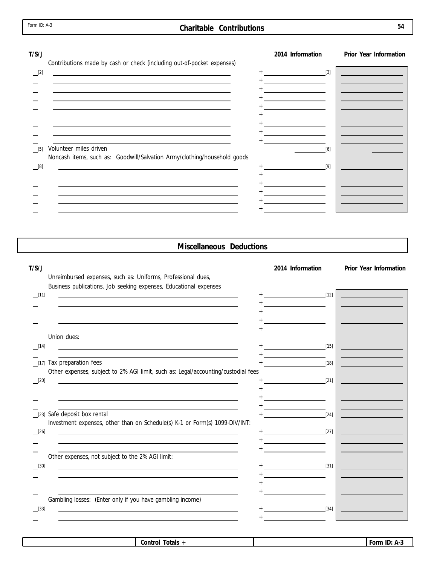#### **Charitable Contributions 54**

| T/S/J                                                                                                                   |         | 2014 Information                                                                                                     | Prior Year Information |
|-------------------------------------------------------------------------------------------------------------------------|---------|----------------------------------------------------------------------------------------------------------------------|------------------------|
| Contributions made by cash or check (including out-of-pocket expenses)                                                  |         |                                                                                                                      |                        |
| [2]<br>and the control of the control of the control of the control of the control of the control of the control of the | $+$ [3] |                                                                                                                      |                        |
| the contract of the contract of the contract of the contract of the contract of the contract of the contract of         |         | <u> 1989 - Andrea Aonaich an t-Aonaich an t-Aonaich an t-Aonaich an t-Aonaich an t-Aonaich an t-Aonaich an t-Aon</u> |                        |
|                                                                                                                         |         | <u> 1989 - Jan Barnett, fransk politik (</u>                                                                         |                        |
|                                                                                                                         |         | the control of the control of the                                                                                    |                        |
|                                                                                                                         |         |                                                                                                                      |                        |
|                                                                                                                         |         | <u> 1980 - Jan Stein Stein Stein Stein Stein Stein Stein Stein Stein Stein Stein Stein Stein Stein Stein Stein S</u> |                        |
|                                                                                                                         |         | the company of the company of the company                                                                            |                        |
|                                                                                                                         |         | <u> 1990 - Jan James James Barnett, p</u>                                                                            |                        |
|                                                                                                                         |         |                                                                                                                      |                        |
| Volunteer miles driven<br>$[5]$                                                                                         |         | [6]                                                                                                                  |                        |
| Noncash items, such as: Goodwill/Salvation Army/clothing/household goods                                                |         |                                                                                                                      |                        |
| [8]                                                                                                                     |         | [9]                                                                                                                  |                        |
|                                                                                                                         |         |                                                                                                                      |                        |
|                                                                                                                         |         |                                                                                                                      |                        |
|                                                                                                                         |         |                                                                                                                      |                        |
|                                                                                                                         |         |                                                                                                                      |                        |
|                                                                                                                         |         |                                                                                                                      |                        |

#### **Miscellaneous Deductions**

Unreimbursed expenses, such as: Uniforms, Professional dues,

**T/S/J 2014 Information Prior Year Information**

Business publications, Job seeking expenses, Educational expenses[11] [12] + + +  $\overline{\phantom{0}}$ +  $\overline{\phantom{0}}$ + Union dues: + [14] [15] + Tax preparation fees + [17] [18] Other expenses, subject to 2% AGI limit, such as: Legal/accounting/custodial fees  $\frac{[20]}{[21]}$   $\frac{1}{[21]}$ + + + + [23] Safe deposit box rental the contract of the contract of the contract of the contract of the contract of the contract of the contract of the contract of the contract of the contract of the contract of the contract of t Investment expenses, other than on Schedule(s) K-1 or Form(s) 1099-DIV/INT: [26] [27] + +  $\equiv$ + Other expenses, not subject to the 2% AGI limit: [30] [31] + +  $\overline{\phantom{0}}$ + + Gambling losses: (Enter only if you have gambling income) + [33] [34] +

| -<br>'otals<br>Control | . .<br>ID:<br>u Form |
|------------------------|----------------------|
|                        |                      |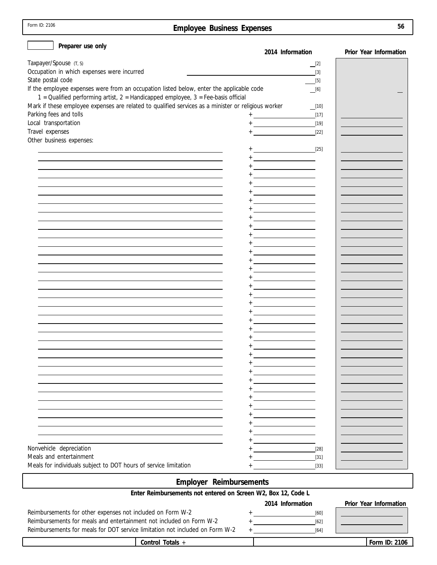| Form ID: 2106 |  |
|---------------|--|
|---------------|--|

# **Employee Business Expenses**

| Preparer use only                                                                                             |                                                                                                                                                                                                                                                                                                                                                                                                                                                            |                        |
|---------------------------------------------------------------------------------------------------------------|------------------------------------------------------------------------------------------------------------------------------------------------------------------------------------------------------------------------------------------------------------------------------------------------------------------------------------------------------------------------------------------------------------------------------------------------------------|------------------------|
|                                                                                                               | 2014 Information                                                                                                                                                                                                                                                                                                                                                                                                                                           | Prior Year Information |
| Taxpayer/Spouse (T, S)                                                                                        | $\equiv$ [2]                                                                                                                                                                                                                                                                                                                                                                                                                                               |                        |
| Occupation in which expenses were incurred                                                                    | $[3]$                                                                                                                                                                                                                                                                                                                                                                                                                                                      |                        |
| State postal code<br>If the employee expenses were from an occupation listed below, enter the applicable code | [5]                                                                                                                                                                                                                                                                                                                                                                                                                                                        |                        |
| 1 = Qualified performing artist, 2 = Handicapped employee, 3 = Fee-basis official                             | $\_$ [6]                                                                                                                                                                                                                                                                                                                                                                                                                                                   |                        |
| Mark if these employee expenses are related to qualified services as a minister or religious worker           | $\boxed{10}$                                                                                                                                                                                                                                                                                                                                                                                                                                               |                        |
| Parking fees and tolls                                                                                        | $[17]$                                                                                                                                                                                                                                                                                                                                                                                                                                                     |                        |
| Local transportation                                                                                          | $[19]$                                                                                                                                                                                                                                                                                                                                                                                                                                                     |                        |
| Travel expenses                                                                                               | <b>+</b> <u>Construction</u> in the construction<br>$[22]$                                                                                                                                                                                                                                                                                                                                                                                                 |                        |
| Other business expenses:                                                                                      |                                                                                                                                                                                                                                                                                                                                                                                                                                                            |                        |
|                                                                                                               |                                                                                                                                                                                                                                                                                                                                                                                                                                                            |                        |
|                                                                                                               | $+ \underbrace{\hspace{2.5cm}}_{\hspace{2.5cm} \underbrace{\hspace{2.5cm}}_{\hspace{2.5cm} \underbrace{\hspace{2.5cm}}_{\hspace{2.5cm} \underbrace{\hspace{2.5cm}}_{\hspace{2.5cm} \underbrace{\hspace{2.5cm}}_{\hspace{2.5cm} \underbrace{\hspace{2.5cm}}_{\hspace{2.5cm} \underbrace{\hspace{2.5cm}}_{\hspace{2.5cm} \underbrace{\hspace{2.5cm}}_{\hspace{2.5cm} \underbrace{\hspace{2.5cm}}_{\hspace{2.5cm} \underbrace{\hspace{2.5cm}}_{\hspace{2.5cm$ |                        |
|                                                                                                               |                                                                                                                                                                                                                                                                                                                                                                                                                                                            |                        |
|                                                                                                               |                                                                                                                                                                                                                                                                                                                                                                                                                                                            |                        |
|                                                                                                               |                                                                                                                                                                                                                                                                                                                                                                                                                                                            |                        |
|                                                                                                               |                                                                                                                                                                                                                                                                                                                                                                                                                                                            |                        |
|                                                                                                               |                                                                                                                                                                                                                                                                                                                                                                                                                                                            |                        |
|                                                                                                               |                                                                                                                                                                                                                                                                                                                                                                                                                                                            |                        |
|                                                                                                               |                                                                                                                                                                                                                                                                                                                                                                                                                                                            |                        |
|                                                                                                               |                                                                                                                                                                                                                                                                                                                                                                                                                                                            |                        |
|                                                                                                               |                                                                                                                                                                                                                                                                                                                                                                                                                                                            |                        |
|                                                                                                               |                                                                                                                                                                                                                                                                                                                                                                                                                                                            |                        |
|                                                                                                               |                                                                                                                                                                                                                                                                                                                                                                                                                                                            |                        |
|                                                                                                               |                                                                                                                                                                                                                                                                                                                                                                                                                                                            |                        |
|                                                                                                               |                                                                                                                                                                                                                                                                                                                                                                                                                                                            |                        |
|                                                                                                               |                                                                                                                                                                                                                                                                                                                                                                                                                                                            |                        |
|                                                                                                               |                                                                                                                                                                                                                                                                                                                                                                                                                                                            |                        |
|                                                                                                               |                                                                                                                                                                                                                                                                                                                                                                                                                                                            |                        |
|                                                                                                               |                                                                                                                                                                                                                                                                                                                                                                                                                                                            |                        |
|                                                                                                               |                                                                                                                                                                                                                                                                                                                                                                                                                                                            |                        |
|                                                                                                               |                                                                                                                                                                                                                                                                                                                                                                                                                                                            |                        |
|                                                                                                               |                                                                                                                                                                                                                                                                                                                                                                                                                                                            |                        |
|                                                                                                               |                                                                                                                                                                                                                                                                                                                                                                                                                                                            |                        |
|                                                                                                               | <u> 1980 - Jan Barbara Barat, prima politik po</u>                                                                                                                                                                                                                                                                                                                                                                                                         |                        |
|                                                                                                               |                                                                                                                                                                                                                                                                                                                                                                                                                                                            |                        |
|                                                                                                               |                                                                                                                                                                                                                                                                                                                                                                                                                                                            |                        |
|                                                                                                               |                                                                                                                                                                                                                                                                                                                                                                                                                                                            |                        |
|                                                                                                               |                                                                                                                                                                                                                                                                                                                                                                                                                                                            |                        |
|                                                                                                               |                                                                                                                                                                                                                                                                                                                                                                                                                                                            |                        |
|                                                                                                               |                                                                                                                                                                                                                                                                                                                                                                                                                                                            |                        |
|                                                                                                               |                                                                                                                                                                                                                                                                                                                                                                                                                                                            |                        |
|                                                                                                               |                                                                                                                                                                                                                                                                                                                                                                                                                                                            |                        |
|                                                                                                               |                                                                                                                                                                                                                                                                                                                                                                                                                                                            |                        |
|                                                                                                               |                                                                                                                                                                                                                                                                                                                                                                                                                                                            |                        |
| Nonvehicle depreciation                                                                                       | $[28]$                                                                                                                                                                                                                                                                                                                                                                                                                                                     |                        |
| Meals and entertainment                                                                                       | $[31]$                                                                                                                                                                                                                                                                                                                                                                                                                                                     |                        |
| Meals for individuals subject to DOT hours of service limitation                                              | $[33]$                                                                                                                                                                                                                                                                                                                                                                                                                                                     |                        |
| Employer Reimbursements                                                                                       |                                                                                                                                                                                                                                                                                                                                                                                                                                                            |                        |
| Enter Reimbursements not entered on Screen W2, Box 12, Code L                                                 |                                                                                                                                                                                                                                                                                                                                                                                                                                                            |                        |
|                                                                                                               | 2014 Information                                                                                                                                                                                                                                                                                                                                                                                                                                           | Prior Year Information |
| Reimbursements for other expenses not included on Form W-2                                                    | [60]<br><u>and the contract of the contract of the contract of the contract of the contract of the contract of the contract of the contract of the contract of the contract of the contract of the contract of the contract of the contr</u>                                                                                                                                                                                                               |                        |
| Reimbursements for meals and entertainment not included on Form W-2                                           | <u> 1999 - Andrea State</u><br>$[62]$                                                                                                                                                                                                                                                                                                                                                                                                                      |                        |
| Reimbursements for meals for DOT service limitation not included on Form W-2                                  | $[64]$<br><u> 1980 - Jan Barnett, fransk politiker</u><br>$^{+}$                                                                                                                                                                                                                                                                                                                                                                                           |                        |
| Control Totals +                                                                                              |                                                                                                                                                                                                                                                                                                                                                                                                                                                            | Form ID: 2106          |
|                                                                                                               |                                                                                                                                                                                                                                                                                                                                                                                                                                                            |                        |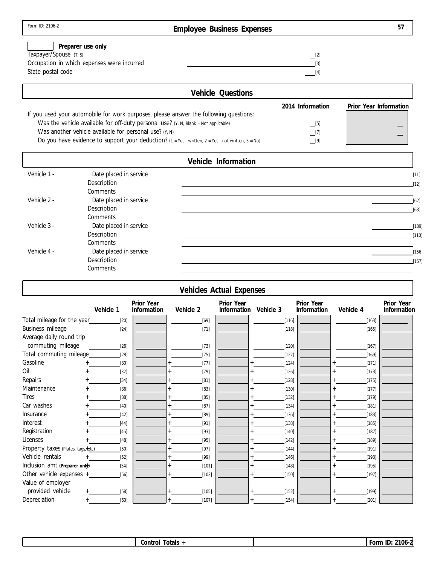# **Employee Business Expenses**

| Preparer use only                          |     |
|--------------------------------------------|-----|
| Taxpayer/Spouse (T, S)                     |     |
| Occupation in which expenses were incurred | [3] |
| State postal code                          |     |

| <b>Vehicle Questions</b>                                                                             |                  |                        |
|------------------------------------------------------------------------------------------------------|------------------|------------------------|
|                                                                                                      | 2014 Information | Prior Year Information |
| If you used your automobile for work purposes, please answer the following questions:                |                  |                        |
| Was the vehicle available for off-duty personal use? (Y, N, Blank = Not applicable)                  | $\_$ [5]         |                        |
| Was another vehicle available for personal use? $(Y, N)$                                             | $\Box$ [7]       |                        |
| Do you have evidence to support your deduction? $(1 = Yes - written, 2 = Yes - not written, 3 = No)$ | $\boxed{9}$      |                        |

|             | Vehicle Information    |         |
|-------------|------------------------|---------|
| Vehicle 1 - | Date placed in service | $[11]$  |
|             | Description            | $[12]$  |
|             | Comments               |         |
| Vehicle 2 - | Date placed in service | $[62]$  |
|             | Description            | [63]    |
|             | Comments               |         |
| Vehicle 3 - | Date placed in service | $[109]$ |
|             | Description            | $[110]$ |
|             | Comments               |         |
| Vehicle 4 - | Date placed in service | $[156]$ |
|             | Description            | $[157]$ |
|             | Comments               |         |

|                                     |           |                           |           | <b>Vehicles Actual Expenses</b> |           |                           |           |                           |
|-------------------------------------|-----------|---------------------------|-----------|---------------------------------|-----------|---------------------------|-----------|---------------------------|
|                                     | Vehicle 1 | Prior Year<br>Information | Vehicle 2 | Prior Year<br>Information       | Vehicle 3 | Prior Year<br>Information | Vehicle 4 | Prior Year<br>Information |
| Total mileage for the year_         | $[20]$    |                           | $[69]$    |                                 | [116]     |                           | $[163]$   |                           |
| Business mileage                    | $[24]$    |                           | $[71]$    |                                 | $[118]$   |                           | $[165]$   |                           |
| Average daily round trip            |           |                           |           |                                 |           |                           |           |                           |
| commuting mileage                   | $[26]$    |                           | $[73]$    |                                 | $[120]$   |                           | [167]     |                           |
| Total commuting mileage             | $[28]$    |                           | $[75]$    |                                 | $[122]$   |                           | [169]     |                           |
| Gasoline                            | $[30]$    |                           | $[77]$    |                                 | $[124]$   |                           | $[171]$   |                           |
| Oil                                 | $[32]$    |                           | $[79]$    |                                 | $[126]$   |                           | $[173]$   |                           |
| Repairs                             | $[34]$    |                           | $[81]$    |                                 | $[128]$   |                           | $[175]$   |                           |
| Maintenance                         | $[36]$    |                           | $[83]$    |                                 | $[130]$   |                           | [177]     |                           |
| <b>Tires</b>                        | $[38]$    |                           | $[85]$    |                                 | $[132]$   |                           | [179]     |                           |
| Car washes                          | $[40]$    |                           | $[87]$    |                                 | $[134]$   |                           | $[181]$   |                           |
| Insurance                           | $[42]$    |                           | $[89]$    |                                 | $[136]$   |                           | $[183]$   |                           |
| Interest                            | $[44]$    |                           | $[91]$    |                                 | [138]     |                           | [185]     |                           |
| Registration                        | $[46]$    |                           | $[93]$    |                                 | [140]     |                           | [187]     |                           |
| Licenses                            | $[48]$    |                           | $[95]$    |                                 | $[142]$   |                           | [189]     |                           |
| Property taxes (Plates, tags, +etc) | $[50]$    |                           | $[97]$    |                                 | $[144]$   |                           | [191]     |                           |
| Vehicle rentals                     | $[52]$    |                           | $[99]$    |                                 | $[146]$   |                           | $[193]$   |                           |
| Inclusion amt (Preparer only)       | $[54]$    |                           | [101]     |                                 | [148]     |                           | [195]     |                           |
| Other vehicle expenses $+$          | $[56]$    |                           | $[103]$   |                                 | [150]     |                           | [197]     |                           |
| Value of employer                   |           |                           |           |                                 |           |                           |           |                           |
| provided vehicle                    | $[58]$    |                           | $[105]$   |                                 | $[152]$   |                           | [199]     |                           |
| Depreciation                        | [60]      |                           | [107]     |                                 | $[154]$   |                           | $[201]$   |                           |

| lotals<br>nr<br>ntroi<br>◡◡ | -ID<br>∴orr | $\sim$<br>-ים ו |
|-----------------------------|-------------|-----------------|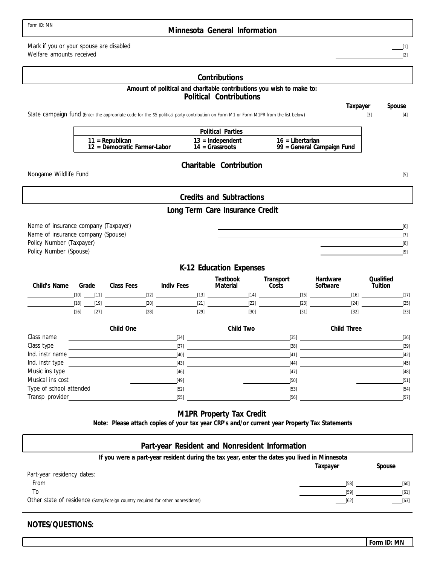#### **Minnesota General Information**

Mark if you or your spouse are disabled Welfare amounts received

Nongame Wildlife Fund

Policy Number (Taxpayer) Policy Number (Spouse)

**Contributions Credits and Subtractions Political Contributions Charitable Contribution Long Term Care Insurance Credit K-12 Education Expenses Amount of political and charitable contributions you wish to make to: Taxpayer Spouse Political Parties 14 = Grassroots 11 = Republican 16 = Libertarian 12 = Democratic Farmer-Labor 13 = Independent Textbook Transport Hardware Qualified Child's Name Grade Class Fees Indiv Fees** State campaign fund (Enter the appropriate code for the \$5 political party contribution on Form M1 or Form M1PR from the list below) Name of insurance company (Taxpayer) Name of insurance company (Spouse) [2]  $[3]$  [4] [5] [6] [7] [8] [9] [10] [11] [12] [13] [14] [15] [16] [17] [18] [19] [20] [21] [22] [23] [24] [25] [26] [27] [27] [28] [28] [29] [29] [29] [30] [30] [31] [31] [32] [32] [33] [34] [35] [36] **Child One Child Two Child Three 99 = General Campaign Fund**

| Class name              | $[34]$ | $[35]$ | $[36]$ |
|-------------------------|--------|--------|--------|
| Class type              | [37]   | [38]   | $[39]$ |
| Ind. instr name         | $[40]$ | $[41]$ | $[42]$ |
| Ind. instr type         | $[43]$ | $[44]$ | $[45]$ |
| Music ins type          | $[46]$ | [47]   | $[48]$ |
| Musical ins cost        | $[49]$ | $[50]$ | $[51]$ |
| Type of school attended | $[52]$ | $[53]$ | $[54]$ |
| Transp provider         | $[55]$ | $[56]$ | $[57]$ |

#### **M1PR Property Tax Credit**

**Note: Please attach copies of your tax year CRP's and/or current year Property Tax Statements**

| Part-year Resident and Nonresident Information                                               |          |        |
|----------------------------------------------------------------------------------------------|----------|--------|
| If you were a part-year resident during the tax year, enter the dates you lived in Minnesota |          |        |
|                                                                                              | Taxpayer | Spouse |
| Part-year residency dates:                                                                   |          |        |
| From                                                                                         | $[58]$   | [60]   |
| To                                                                                           | [59]     | [61]   |
| Other state of residence (State/Foreign country required for other nonresidents)             | [62]     | $[63]$ |

#### **NOTES/QUESTIONS:**

[1]